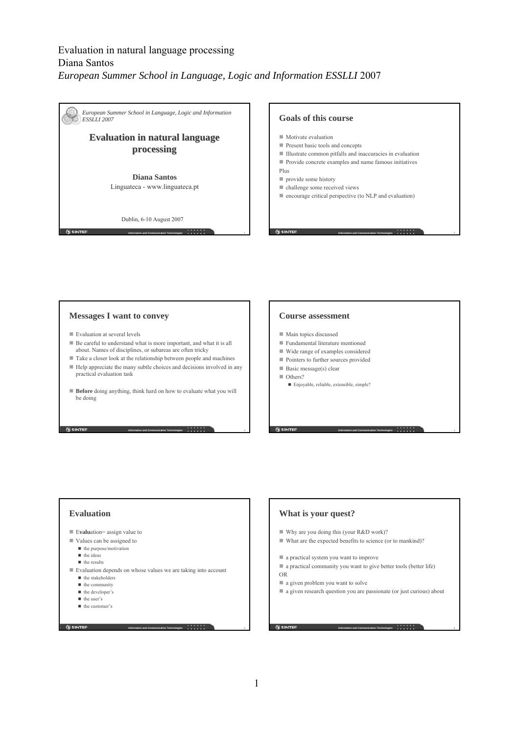

### **Messages I want to convey**

- Evaluation at several levels
- Be careful to understand what is more important, and what it is all about. Names of disciplines, or subareas are often tricky
- Take a closer look at the relationship between people and machines
- Help appreciate the many subtle choices and decisions involved in any practical evaluation task
- **Before** doing anything, think hard on how to evaluate what you will be doing

#### **Information and Communication Technologies** 3 3 4 3 4 5 1 2 2 3 3 4 4 5  $\pm$  3 3 4 5  $\pm$  3 5  $\pm$  3 5  $\pm$  3 5  $\pm$  3 5  $\pm$  3 5  $\pm$  3 5  $\pm$  3 5  $\pm$  3 5  $\pm$  3 5  $\pm$  3 5  $\pm$  3  $\pm$  3  $\pm$  3  $\pm$  3  $\pm$  3  $\pm$  3  $\pm$

#### **Course assessment**

- Main topics discussed
- Fundamental literature mentioned
- Wide range of examples considered
- Pointers to further sources provided
- Basic message(s) clear Others?
	- Enjoyable, reliable, extensible, simple?

### **Evaluation**

- Evaluation= assign value to
- Values can be assigned to
	- $\blacksquare$  the purpose/motivation  $\blacksquare$  the ideas
	-
	- **n** the results
- Evaluation depends on whose values we are taking into account
	- $\blacksquare$  the stakeholders
	- $\blacksquare$  the community
	- $\blacksquare$  the developer's  $\blacksquare$  the user's
	-

**G** SINTEF

■ the customer's

**Information and Communication Technologies** 5

### **What is your quest?**

- Why are you doing this (your R&D work)?
- What are the expected benefits to science (or to mankind)?
- a practical system you want to improve
- a practical community you want to give better tools (better life) OR
- a given problem you want to solve
- a given research question you are passionate (or just curious) about

**Information and Communication Technologies** 6

**Information and Communication Technologies** 4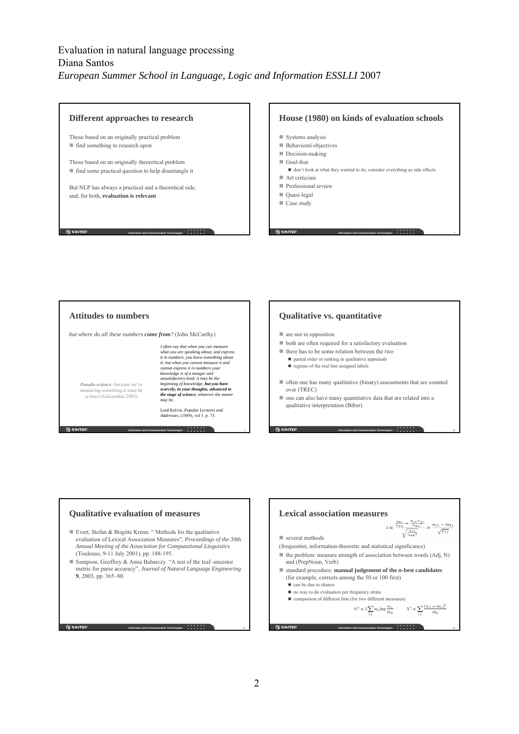

#### **Information and Communication Technologies** 9 **Attitudes to numbers** *but where do all these numbers come from?* (John McCarthy) *I often say that when you can measure what you are speaking about, and express it in numbers, you know something about it; but when you cannot measure it and cannot express it in numbers your knowledge is of a meager and unsatisfactory kind; it may be the beginning of knowledge, but you have scarcely, in your thoughts, advanced to the stage of science, whatever the matter may be.*  Lord Kelvin, *Popular Lectures and Addresses*, (1889), vol 1. p. 73. *Pseudo-science: because we're measuring something it must be science* (Gaizauskas 2003)





**G** SINTEF

- Evert, Stefan & Brigitte Krenn. " Methods for the qualitative evaluation of Lexical Association Measures", *Proceedings of the 39th Annual Meeting of the Association for Computational Linguistics* (Toulouse, 9-11 July 2001), pp. 188-195.
- Sampson, Geoffrey & Anna Babarczy. "A test of the leaf–ancestor metric for parse accuracy", *Journal of Natural Language Engineering* **9**, 2003, pp. 365–80.

**Information and Communication Technologies** 1 **11** 11

**Lexical association measures**<br> $t \approx \frac{\frac{n_{11}}{n_{++}} - \frac{n_{1+}n_{+1}}{n_{++}x}}{\sqrt{\frac{n_{11}}{n_{++}x}}} = \frac{n_{11} - m_{11}}{\sqrt{n_{11}}}$ ■ several methods (frequentist, information-theoretic and statistical significance)  $\blacksquare$  the problem: measure strength of association between words (Adj, N) and (PrepNoun, Verb) standard procedure: **manual judgement of the** *n***-best candidates** (for example, corrects among the 50 or 100 first) can be due to chance no way to do evaluation per frequency strata comparison of different lists (for two different measures) $G^2 = 2 \sum_{i,i} n_{ij} \log \frac{n_{ij}}{m_{ij}} \hspace{1cm} X^2 = \sum_{i,i} \frac{(n_{ij} - m_{ij})^2}{m_{ij}}$ **G SINTER Information and Communication Technologies 12 12 12**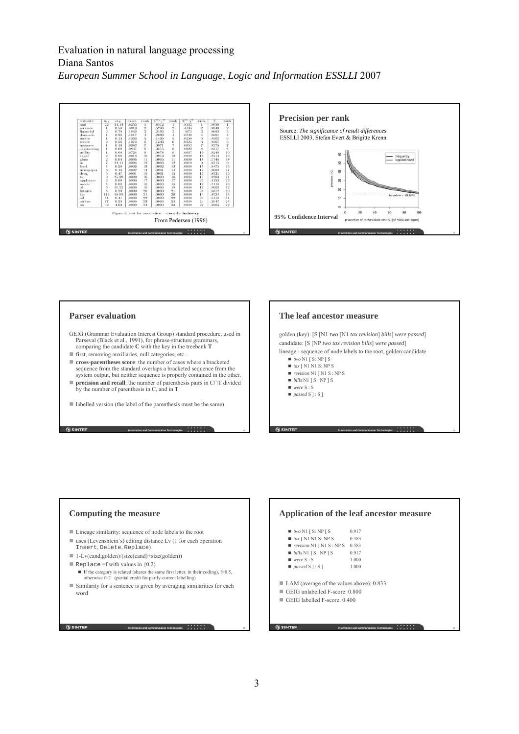



### **Parser evaluation**

**SINTEF** 

**G** SINTEF

- GEIG (Grammar Evaluation Interest Group) standard procedure, used in Parseval (Black et al., 1991), for phrase-structure grammars, comparing the candidate **C** with the key in the treebank **T**
- $\blacksquare$  first, removing auxiliaries, null categories, etc...
- **cross-parentheses score**: the number of cases where a bracketed sequence from the standard overlaps a bracketed sequence from the system output, but neither sequence is properly contained in the other.
- **precision and recall**: the number of parenthesis pairs in C∩T divided by the number of parenthesis in C, and in T
- labelled version (the label of the parenthesis must be the same)

### **The leaf ancestor measure** golden (key): [S [N1 *two* [N1 *tax revision*] *bills*] *were passed*] candidate: [S [NP *two tax revision bills*] *were passed*] lineage - sequence of node labels to the root, golden:candidate  $\blacksquare$  <br> $two$  N1 [ S: NP [ S ■ *tax* [ N1 N1 S: NP S *revision* N1 ] N1 S : NP S ■ *bills* N1 ] **S** : NP ] **S**  *were* S : S  $\blacksquare$  *passed* **S** ] : **S** ]

**Information and Communication Technologies 16 16 16** 

**Information and Communication Technologies 18 18 18** 

**Computing the measure** ■ Lineage similarity: sequence of node labels to the root ■ uses (Levenshtein's) editing distance Lv (1 for each operation Insert, Delete, Replace) ■ 1-Lv(cand,golden)/(size(cand)+size(golden)) Replace =f with values in  ${0,2}$ If the category is related (shares the same first letter, in their coding),  $f=0.5$ , otherwise  $f=2$  (partial credit for partly-correct labelling) Similarity for a sentence is given by averaging similarities for each word

**Information and Communication Technologies** 17 and 17 and 17 and 17 and 17 and 17 and 17 and 17 and 17 and 17 and 17 and 17 and 17 and 17 and 17 and 17 and 17 and 17 and 17 and 17 and 17 and 17 and 17 and 17 and 17 and 17

**Information and Communication Technologies** 1 **15** 15

## **Application of the leaf ancestor measure**

| $\blacksquare$ two N1 [ S: NP [ S |  |  | 0.917 |
|-----------------------------------|--|--|-------|
|                                   |  |  |       |

- $\blacksquare$  *tax* [ N1 N1 S: NP S 0.583 ■ *revision* N1 ] N1 S : NP S 0.583
- $\blacksquare$  *bills* N1 | S : NP | S 0.917
- $\blacksquare$  *were* S : S 1.000
- *passed* S ] : S ] 1.000
- LAM (average of the values above): 0.833
- GEIG unlabelled F-score: 0.800
- GEIG labelled F-score: 0.400

**G SINTER** 

### 3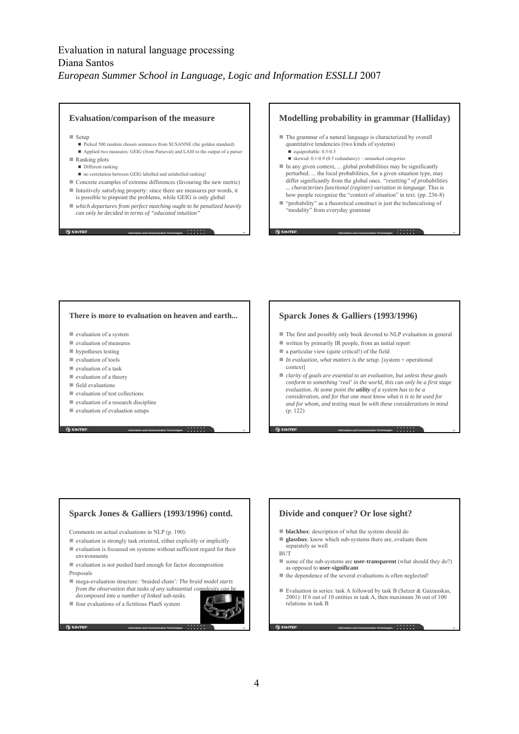#### **Evaluation/comparison of the measure**

- $\blacksquare$  Setup
	- Picked 500 random chosen sentences from SUSANNE (the golden standard)
	- Applied two measures: GEIG (from Parseval) and LAM to the output of a parser
- Ranking plots
	- Different ranking
	- no correlation between GEIG labelled and unlabelled ranking!
- Concrete examples of extreme differences (favouring the new metric) Intuitively satisfying property: since there are measures per words, it
- is possible to pinpoint the problems, while GEIG is only global *which departures from perfect matching ought to be penalized heavily can only be decided in terms of "educated intuition"*

**Information and Communication Technologies** 19

**Information and Communication Technologies** 21

**N** SINTEF

### **Modelling probability in grammar (Halliday)**

- The grammar of a natural language is characterized by overall quantitative tendencies (two kinds of systems) quiprobable: 0.5-0.5
	- skewed: 0.1-0.9 (0.5 redundancy) unmarked categories
- $\blacksquare$  In any given context, ... global probabilities may be significantly perturbed. ... the local probabilities, for a given situation type, may differ significantly from the global ones. *"resetting" of probabilities ... characterizes functional (register) variation in language*. This is how people recognize the "context of situation" in text. (pp. 236-8)
- "probability" as a theoretical construct is just the technicalising of "modality" from everyday grammar

**Information and Communication Technologies** 20

#### **There is more to evaluation on heaven and earth...**

- valuation of a system
- evaluation of measures
- **hypotheses testing**
- $\blacksquare$  evaluation of tools
- evaluation of a task
- $\blacksquare$  evaluation of a theory
- $\blacksquare$  field evaluations
- $\blacksquare$  evaluation of test collections
- $\blacksquare$  evaluation of a research discipline
- $\blacksquare$  evaluation of evaluation setups

**SINTEF** 

### **Sparck Jones & Galliers (1993/1996)**

- The first and possibly only book devoted to NLP evaluation in general
- $\blacksquare$  written by primarily IR people, from an initial report
- $\blacksquare$  a particular view (quite critical!) of the field
- *In evaluation, what matters is the setup*. [system + operational context]
- *clarity of goals are essential to an evaluation, but unless these goals conform to something 'real' in the world, this can only be a first stage evaluation. At some point the utility of a system has to be a consideration, and for that one must know what it is to be used for and for whom, and testing must be with these considerations in mind* (p. 122)

**Information and Communication Technologies 22 22 22 22 22** 

### **Sparck Jones & Galliers (1993/1996) contd.**

Comments on actual evaluations in NLP (p. 190):

- evaluation is strongly task oriented, either explicitly or implicitly
- $\blacksquare$  evaluation is focussed on systems without sufficient regard for their environments
- evaluation is not pushed hard enough for factor decomposition Proposals
- mega-evaluation structure: 'braided chain': *The braid model starts from the observation that tasks of any substantial complexity complexity from the observation that tasks of any substantial complexity from the observation that tasks of any substantial complexity from the observation decomposed into a number of linked sub-tasks.*
- four evaluations of a fictitious PlanS system



**Information and Communication Technologies 23 23 23** 

## **Divide and conquer? Or lose sight?**

- **blackbox**: description of what the system should do
- **glassbox**: know which sub-systems there are, evaluate them separately as well **BUT**

- some of the sub-systems are **user-transparent** (what should they do?) as opposed to **user-significant**
- $\blacksquare$  the dependence of the several evaluations is often neglected!
- Evaluation in series: task A followed by task B (Setzer  $\&$  Gaizauskas, 2001): If 6 out of 10 entities in task A, then maximum 36 out of 100 relations in task B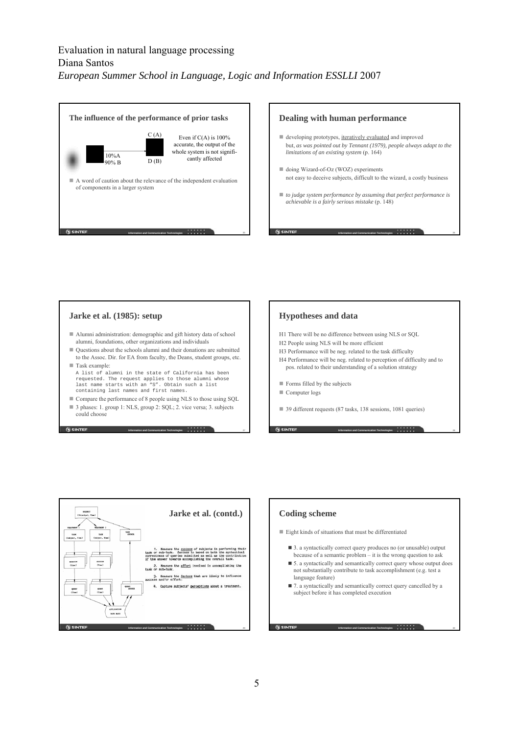



### **Jarke et al. (1985): setup**

- Alumni administration: demographic and gift history data of school alumni, foundations, other organizations and individuals
- Questions about the schools alumni and their donations are submitted to the Assoc. Dir. for EA from faculty, the Deans, student groups, etc. Task example:
- A list of alumni in the state of California has been requested. The request applies to those alumni whose last name starts with an "S". Obtain such a list containing last names and first names.
- Compare the performance of 8 people using NLS to those using SQL

**Information and Communication Technologies 27 27 27 27** 

■ 3 phases: 1. group 1: NLS, group 2: SQL; 2. vice versa; 3. subjects could choose

### **Hypotheses and data**

- H1 There will be no difference between using NLS or SQL
- H2 People using NLS will be more efficient
- H3 Performance will be neg. related to the task difficulty
- H4 Performance will be neg. related to perception of difficulty and to pos. related to their understanding of a solution strategy
- **Forms filled by the subjects**
- Computer logs
- 39 different requests (87 tasks, 138 sessions, 1081 queries)

**Information and Communication Technologies 28 28** 



### **Coding scheme**

- Eight kinds of situations that must be differentiated
	- 3. a syntactically correct query produces no (or unusable) output because of a semantic problem – it is the wrong question to ask
	- 5. a syntactically and semantically correct query whose output does not substantially contribute to task accomplishment (e.g. test a language feature)

**Information and Communication Technologies** 30

■ 7. a syntactically and semantically correct query cancelled by a subject before it has completed execution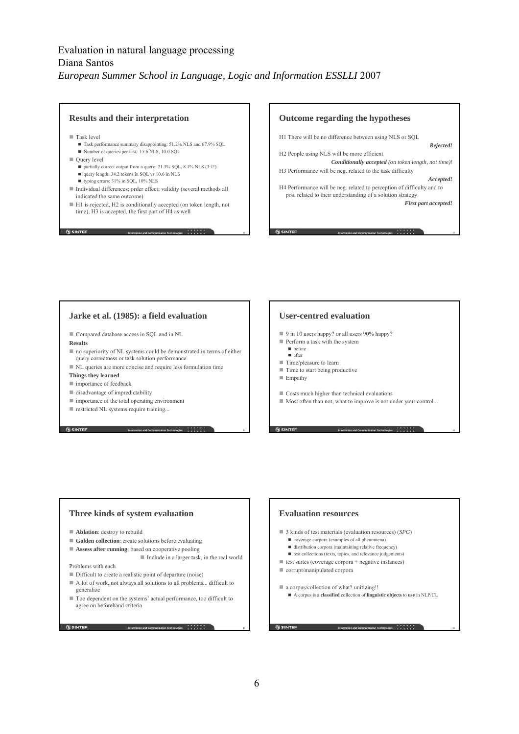### **Results and their interpretation**

■ Task level

- Task performance summary disappointing: 51.2% NLS and 67.9% SQL
- Number of queries per task: 15.6 NLS, 10.0 SQL
- $\blacksquare$  Ouerv level
	- partially correct output from a query: 21.3% SQL, 8.1% NLS (3:1!)
	- query length: 34.2 tokens in SQL vs 10.6 in NLS
	- typing errors: 31% in SQL, 10% NLS
- Individual differences; order effect; validity (several methods all indicated the same outcome)
- H1 is rejected, H2 is conditionally accepted (on token length, not time), H3 is accepted, the first part of H4 as well

**Information and Communication Technologies** 31

**N** SINTEF



### **Jarke et al. (1985): a field evaluation**

Compared database access in SQL and in NL

#### **Results**

- no superiority of NL systems could be demonstrated in terms of either query correctness or task solution performance
- NL queries are more concise and require less formulation time
- **Things they learned**
- $\blacksquare$  importance of feedback
- disadvantage of impredictability
- importance of the total operating environment
- restricted NL systems require training...

### **User-centred evaluation**

- 9 in 10 users happy? or all users 90% happy?
- Perform a task with the system
	- $\blacksquare$  before after
- Time/pleasure to learn
- Time to start being productive
- Empathy
- Costs much higher than technical evaluations
- Most often than not, what to improve is not under your control...

**Information and Communication Technologies** 34

**Information and Communication Technologies** 36

### **Three kinds of system evaluation**

- **Ablation**: destroy to rebuild
- **Golden collection**: create solutions before evaluating
- **Assess after running**: based on cooperative pooling

Include in a larger task, in the real world

**Information and Communication Technologies** 35

**Information and Communication Technologies 33 33 33 33 33** 

Problems with each

- Difficult to create a realistic point of departure (noise)
- A lot of work, not always all solutions to all problems... difficult to generalize
- Too dependent on the systems' actual performance, too difficult to agree on beforehand criteria

**G** SINTEF

### **Evaluation resources**

- 3 kinds of test materials (evaluation resources) (*SPG*)
	- coverage corpora (examples of all phenomena)
	- $\blacksquare$ <br> distribution corpora (maintaining relative frequency)
	- $\blacksquare$  test collections (texts, topics, and relevance judgements)
- test suites (coverage corpora + negative instances)
- corrupt/manipulated corpora

■ a corpus/collection of what? unitizing!!

A corpus is a **classified** collection of **linguistic objects** to **use** in NLP/CL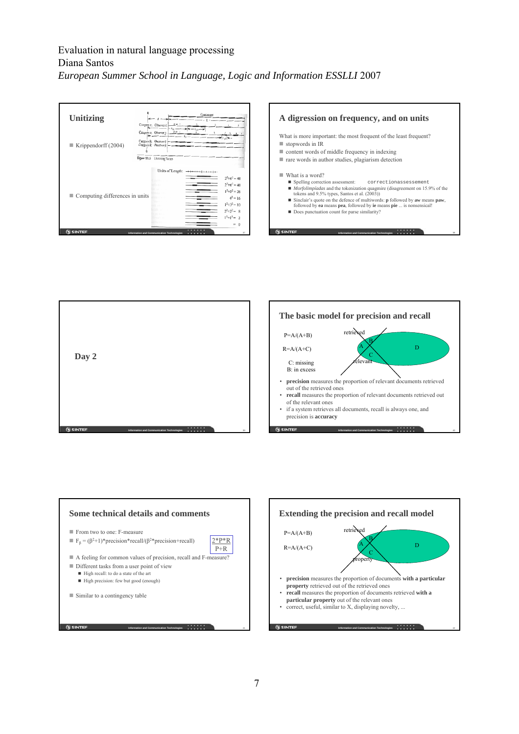| Unitizing                           |                                                                                                                                                                                                        |                                                                                                                        |                  | Continuum |                                                                                                                             |
|-------------------------------------|--------------------------------------------------------------------------------------------------------------------------------------------------------------------------------------------------------|------------------------------------------------------------------------------------------------------------------------|------------------|-----------|-----------------------------------------------------------------------------------------------------------------------------|
| Krippendorff $(2004)$               | Category c; Observer i:<br>$x =$<br>$b_{\rm el}$ -<br>$-t_{d2}$ -<br>$h = 1$<br>Category c: Observer j.<br>Category k; Observer i.<br>Category k: Observer j:<br>Figure 11.5<br><b>Unitizing Terms</b> |                                                                                                                        |                  |           |                                                                                                                             |
| Computing differences in units<br>ш |                                                                                                                                                                                                        | <b>Inches</b><br>in la c<br>timbi-<br>Ph.<br>01. um<br>Politi<br><b>Charles</b><br><b>There</b> are<br><b>Marchine</b> | Units of Length: |           | $2^2+6^2=40$<br>$2^2+6^2=40$<br>$1^2+5^2=26$<br>$4^2 = 16$<br>$1^2+3^2=10$<br>$2^2+2^2 = 8$<br>$1^2+1^2=2$<br>$\theta$<br>× |
| <b>SINTEF</b>                       | Information and Communication Technologies                                                                                                                                                             |                                                                                                                        |                  |           | 37                                                                                                                          |







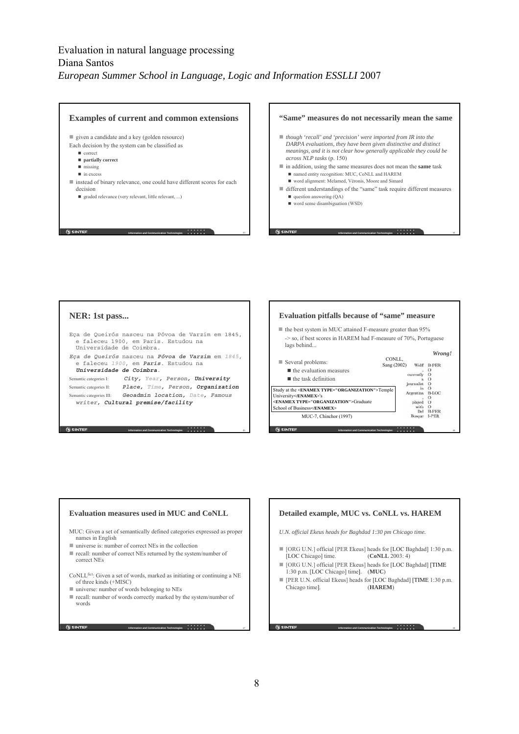





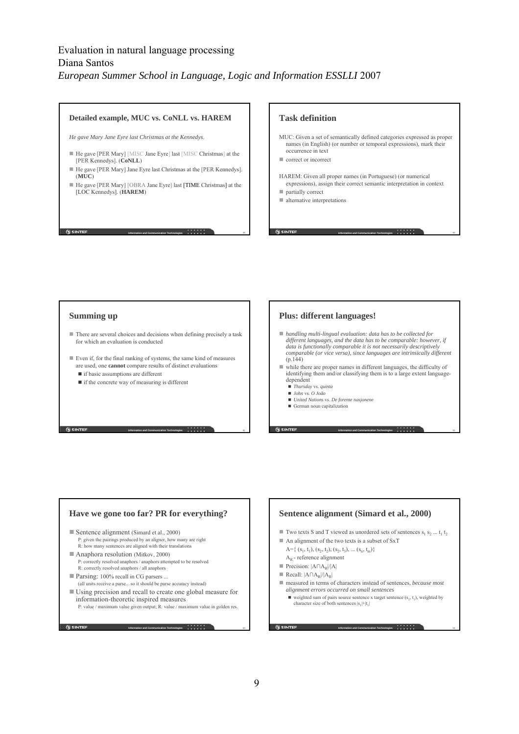#### **Detailed example, MUC vs. CoNLL vs. HAREM**

*He gave Mary Jane Eyre last Christmas at the Kennedys*.

- He gave [PER Mary] [MISC Jane Eyre] last [MISC Christmas] at the [PER Kennedys]. (**CoNLL**)
- He gave [PER Mary] Jane Eyre last Christmas at the [PER Kennedys]. (**MUC**)
- He gave [PER Mary] [OBRA Jane Eyre] last [TIME Christmas] at the [LOC Kennedys]. (**HAREM**)

**Information and Communication Technologies**  $\cdots$   $\cdots$   $\cdots$   $\cdots$   $\cdots$   $\cdots$  49

**Information and Communication Technologies 51 51 51** 

#### **Task definition**

- MUC: Given a set of semantically defined categories expressed as proper names (in English) (or number or temporal expressions), mark their occurrence in text
- correct or incorrect
- HAREM: Given all proper names (in Portuguese) (or numerical expressions), assign their correct semantic interpretation in context

**Information and Communication Technologies** 50

**Information and Communication Technologies 52 52 52 52** 

**partially correct** 

**G** SINTEF

 $\blacksquare$  alternative interpretations

#### **Summing up**

**N** SINTEF

- There are several choices and decisions when defining precisely a task for which an evaluation is conducted
- Even if, for the final ranking of systems, the same kind of measures are used, one **cannot** compare results of distinct evaluations
	- if basic assumptions are different
	- if the concrete way of measuring is different

### **Plus: different languages!**

- *handling multi-lingual evaluation: data has to be collected for different languages, and the data has to be comparable: however, if data is functionally comparable it is not necessarily descriptively comparable (or vice versa), since languages are intrinsically different*  $(p.144)$
- while there are proper names in different languages, the difficulty of identifying them and/or classifying them is to a large extent languagedependent
	- *Thursday* vs. *quinta*
	- *John* vs. *O João*
	- *United Nations* vs. *De forente nasjonene*
	- German noun capitalization

#### **Have we gone too far? PR for everything?**

- Sentence alignment (Simard et al., 2000) P: given the pairings produced by an aligner, how many are right R: how many sentences are aligned with their translations
- Anaphora resolution (Mitkov, 2000) P: correctly resolved anaphors / anaphors attempted to be resolved R: correctly resolved anaphors / all anaphors
- Parsing: 100% recall in CG parsers ...

**G** SINTEF

- (all units receive a parse... so it should be parse accuracy instead) Using precision and recall to create one global measure for information-theoretic inspired measures
	- P: value / maximum value given output; R: value / maximum value in golden res.

**Information and Communication Technologies 53 53** 

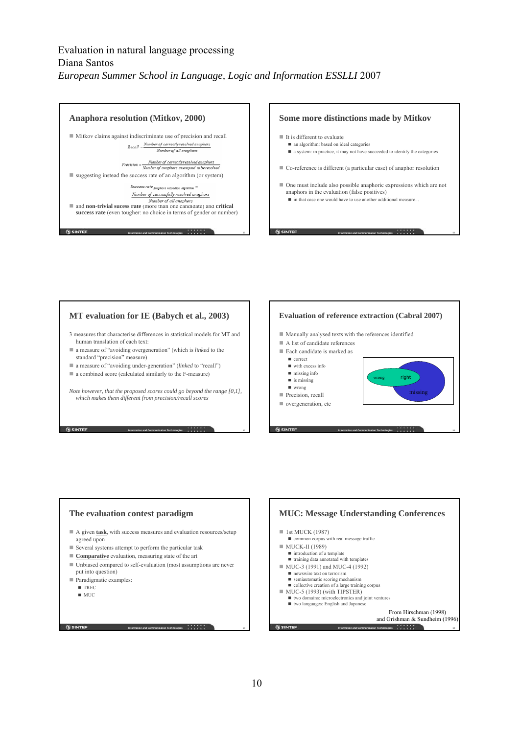







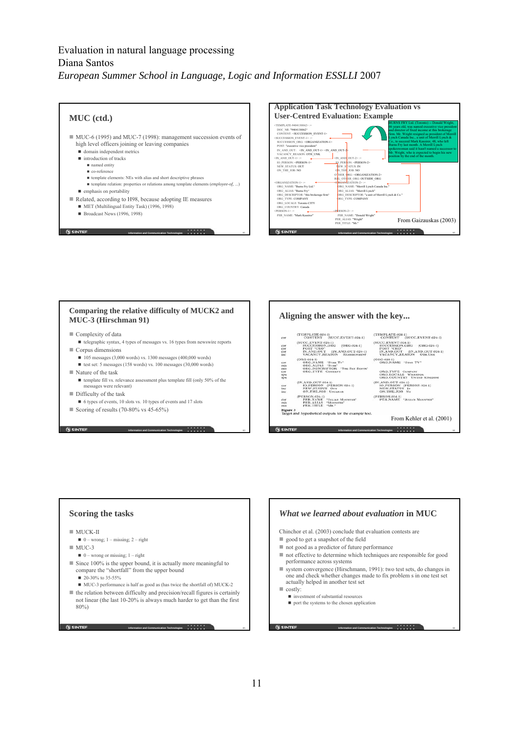



#### **Comparing the relative difficulty of MUCK2 and MUC-3 (Hirschman 91)**

- Complexity of data
- telegraphic syntax, 4 types of messages vs. 16 types from newswire reports  $\blacksquare$  Corpus dimensions
	- $105$  messages (3,000 words) vs. 1300 messages (400,000 words)
	- test set: 5 messages (158 words) vs. 100 messages (30,000 words)
- $\blacksquare$  Nature of the task
	- template fill vs. relevance assessment plus template fill (only 50% of the messages were relevant)

**Information and Communication Technologies 63 63 63 63 63** 

- Difficulty of the task
- 6 types of events, 10 slots vs. 10 types of events and 17 slots
- Scoring of results (70-80% vs 45-65%)

**SINTEE** 

#### **Aligning the answer with the key...**  $\begin{array}{ll} \text{(TEMPLATE-024-1)}\\ \text{CONTENT} & \text{(SUCC,EVENT-024-1)} \end{array}$ (TEMPLATE-024-1)<br>CONTENT (SUCC.EVENT-024-1)  $\begin{array}{lll} & \texttt{UCC\_EVENT-024-1)}\\ & \texttt{SUCCESSON. OIG} & (\texttt{ORG-024-1})\\ & \texttt{POST} & (\texttt{ON-AND.OUT-024-1})\\ & \texttt{IN-AND.OUT} & (\texttt{IN-AND.OUT-024-1})\\ & \texttt{VACANCV\_REASON} & \texttt{Orn.Uns} \end{array}$ cor<br>cor<br>cor<br>inc  $\begin{array}{ll} \left(\text{ORG-034-1}\right) & \\ \text{ORG-NAME} & \text{-STAR TV}^* \\ \text{ORG-ALIAS} & \text{-STAR TV}^* \\ \text{ORG-DESCRIPTOR} & \text{-THE SAT BOSTR}^* \\ \text{ORG-TYPE} & \text{CostrANT} \end{array}$  $\begin{array}{cc} \text{(ORG-024-1)}\\ \text{ORG.NAME} & \text{-STAR TV} \end{array}$ cor<br>mis<br>mis<br>cor<br>spu<br>spu ORG.TYPE COMPANY<br>ORG.LOCALE WHAMPOA<br>ORG.COUNTRY UNITED KINGDOM ORG.COUNTRY UNITRO KINGI<br>R.AND.OUT-024-1)<br>IO\_PERSON (PERSON-024-1)<br>NEW.STATUS Rs **(AND.OUT-024-1)**<br> **IO.PERSON (PERSON-024-1)**<br> **NEW.STATUS OUT**<br> **ON.THE.JOB** UNCLEAR cor<br>Inc<br>inc ERSON-024-1)<br>| PER\_NAME | "Julian Mounter"<br>| PER\_ALIAS | "Mounter"<br>| PER\_TITLE | "Mr." (PERSON-024-1)<br>PER,NAME "JULIAN MOUNTER" cor<br>mis<br>mis Figure 3<br>Target and hypothetical outputs for the example text. From Kehler et al. (2001) **Information and Communication Technologies 64 64 64 64 64 64 64**

### **Scoring the tasks**

#### $\blacksquare$  MUCK-II

- $\blacksquare$  0 wrong; 1 missing; 2 right
- $MUC-3$

**G** SINTEF

- $\blacksquare$  0 wrong or missing; 1 right
- Since 100% is the upper bound, it is actually more meaningful to compare the "shortfall" from the upper bound
	- $\blacksquare$  20-30% to 35-55%
	- MUC-3 performance is half as good as (has twice the shortfall of) MUCK-2
- $\blacksquare$  the relation between difficulty and precision/recall figures is certainly not linear (the last 10-20% is always much harder to get than the first 80%)

**Information and Communication Technologies 65 65** 

Chinchor et al. (2003) conclude that evaluation contests are ■ good to get a snapshot of the field ■ not good as a predictor of future performance not effective to determine which techniques are responsible for good performance across systems

*What we learned about evaluation* **in MUC**

- system convergence (Hirschmann, 1991): two test sets, do changes in one and check whether changes made to fix problem s in one test set actually helped in another test set
- costly:
	- $\blacksquare$  investment of substantial resources
	- port the systems to the chosen application

#### **SINTEF**

**Information and Communication Technologies 66 66 66 66 66**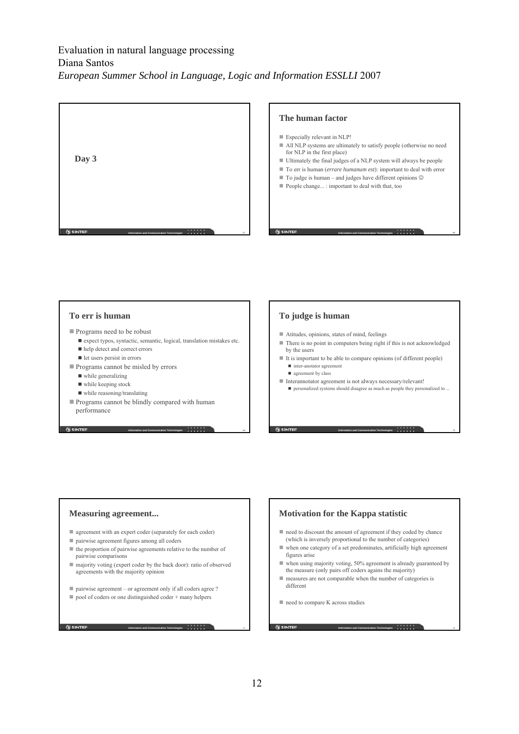

#### **The human factor**

 Especially relevant in NLP! All NLP systems are ultimately to satisfy people (otherwise no need for NLP in the first place) Ultimately the final judges of a NLP system will always be people To err is human (*errare humanum est*): important to deal with error ■ To judge is human – and judges have different opinions  $©$ People change... : important to deal with that, too

**Information and Communication Technologies 68 68 68 68 68** 

### **To err is human**

- Programs need to be robust
	- $\blacksquare$ expect typos, syntactic, semantic, logical, translation mistakes etc.

**Information and Communication Technologies 699 699** 

**Information and Communication Technologies** 71

- help detect and correct errors
- let users persist in errors
- Programs cannot be misled by errors
	- while generalizing
	- while keeping stock
	- while reasoning/translating
- Programs cannot be blindly compared with human performance

**G** SINTEF

### **To judge is human**

**G SINTE** 

- Atitudes, opinions, states of mind, feelings
- $\blacksquare$  There is no point in computers being right if this is not acknowledged by the users
- It is important to be able to compare opinions (of different people)  $\blacksquare$  inter-anotator agreement
	- **a** agreement by class
- Interannotator agreement is not always necessary/relevant!
	- personalized systems should disagree as much as people they personalized to ..

**Information and Communication Technologies a a a a a a a a b** 

**Information and Communication Technologies a a a a a a a a a** 

#### **Measuring agreement...**

- agreement with an expert coder (separately for each coder)
- pairwise agreement figures among all coders
- $\blacksquare$  the proportion of pairwise agreements relative to the number of pairwise comparisons
- majority voting (expert coder by the back door): ratio of observed agreements with the majority opinion
- pairwise agreement or agreement only if all coders agree ?
- $\Box$  pool of coders or one distinguished coder + many helpers

**Motivation for the Kappa statistic**

- need to discount the amount of agreement if they coded by chance (which is inversely proportional to the number of categories)
- when one category of a set predominates, artificially high agreement figures arise
- when using majority voting, 50% agreement is already guaranteed by the measure (only pairs off coders agains the majority)
- measures are not comparable when the number of categories is different
- need to compare K across studies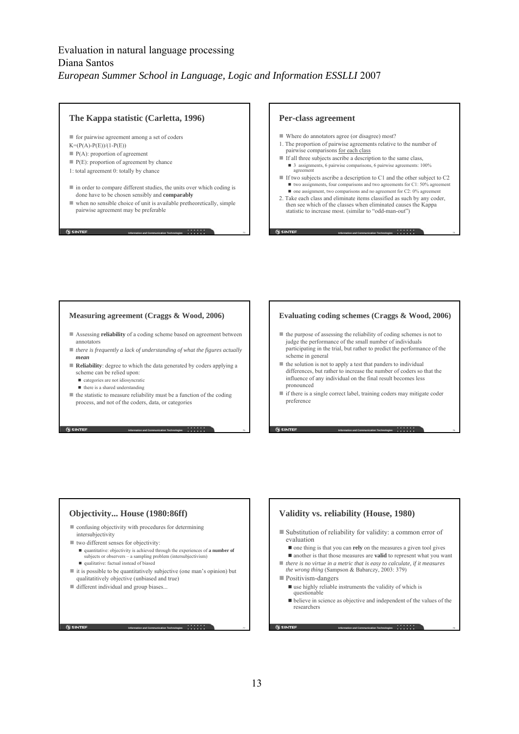### **The Kappa statistic (Carletta, 1996)**

 $\blacksquare$  for pairwise agreement among a set of coders

- $K=(P(A)-P(E))/(1-P(E))$
- $P(A)$ : proportion of agreement
- $P(E)$ : proportion of agreement by chance
- 1: total agreement 0: totally by chance
- in order to compare different studies, the units over which coding is done have to be chosen sensibly and **comparably**
- when no sensible choice of unit is available pretheoretically, simple pairwise agreement may be preferable

**Information and Communication Technologies** 73

**Information and Communication Technologies** 75

**Information and Communication Technologies** 77

**N** SINTEF

#### **Per-class agreement**

- Where do annotators agree (or disagree) most?
- 1. The proportion of pairwise agreements relative to the number of pairwise comparisons for each class
- If all three subjects ascribe a description to the same class, ■ 3 assignments, 6 pairwise comparisons, 6 pairwise agreements: 100% agreement
- If two subjects ascribe a description to C1 and the other subject to C2  $\blacksquare$  two assignments, four comparisons and two agreements for C1: 50% agreement

**Information and Communication Technologies** 74

**Information and Communication Technologies** 76

 $\blacksquare$  one assignment, two comparisons and no agreement for C2: 0% agreement 2. Take each class and eliminate items classified as such by any coder, then see which of the classes when eliminated causes the Kappa statistic to increase most. (similar to "odd-man-out")

#### **Measuring agreement (Craggs & Wood, 2006)**

- Assessing **reliability** of a coding scheme based on agreement between annotators
- *there is frequently a lack of understanding of what the figures actually mean*
- **Reliability**: degree to which the data generated by coders applying a scheme can be relied upon:
	- categories are not idiosyncratic
	- $\blacksquare$  there is a shared understanding
- $\blacksquare$  the statistic to measure reliability must be a function of the coding process, and not of the coders, data, or categories

**G** SINTEF

#### **Evaluating coding schemes (Craggs & Wood, 2006)**

- the purpose of assessing the reliability of coding schemes is not to judge the performance of the small number of individuals participating in the trial, but rather to predict the performance of the scheme in general
- $\blacksquare$  the solution is not to apply a test that panders to individual differences, but rather to increase the number of coders so that the influence of any individual on the final result becomes less pronounced
- $\blacksquare$  if there is a single correct label, training coders may mitigate coder preference

### **Objectivity... House (1980:86ff)**

 confusing objectivity with procedures for determining intersubjectivity

- two different senses for objectivity:
	- quantitative: objectivity is achieved through the experiences of **a number of** subjects or observers – a sampling problem (intersubjectivism)
	- qualitative: factual instead of biased
- $\blacksquare$  it is possible to be quantitatively subjective (one man's opinion) but qualitatitively objective (unbiased and true)
- different individual and group biases...

**Validity vs. reliability (House, 1980)** Substitution of reliability for validity: a common error of evaluation

- one thing is that you can **rely** on the measures a given tool gives
- another is that those measures are **valid** to represent what you want
- *there is no virtue in a metric that is easy to calculate, if it measures the wrong thing* (Sampson & Babarczy, 2003: 379)
- Positivism-dangers

**G SINTER** 

- $\blacksquare$  use highly reliable instruments the validity of which is questionable
- believe in science as objective and independent of the values of the researchers

**Information and Communication Technologies** 78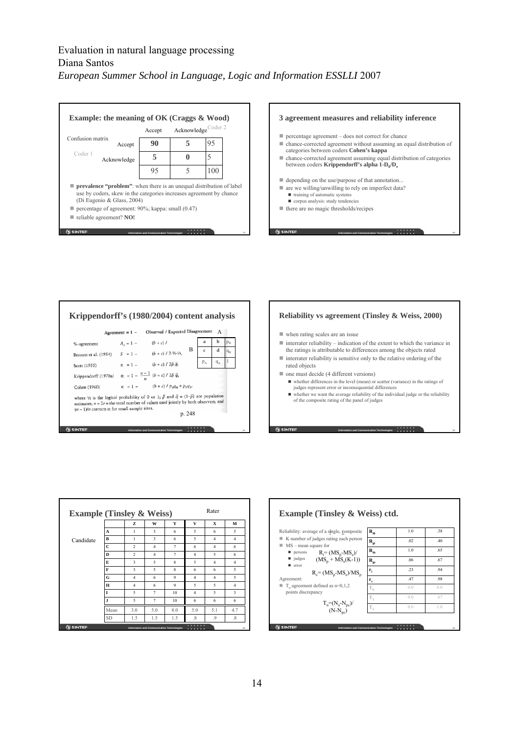|                  | Example: the meaning of OK (Craggs $\&$ Wood)                                                                                                                                                                                                                     |                                            |                                |     |    |
|------------------|-------------------------------------------------------------------------------------------------------------------------------------------------------------------------------------------------------------------------------------------------------------------|--------------------------------------------|--------------------------------|-----|----|
|                  |                                                                                                                                                                                                                                                                   | Accept                                     | Acknowledge <sup>Coder 2</sup> |     |    |
| Confusion matrix | Accept                                                                                                                                                                                                                                                            | 90                                         |                                | 95  |    |
| Coder 1          | Acknowledge                                                                                                                                                                                                                                                       | 5                                          |                                | 5   |    |
|                  |                                                                                                                                                                                                                                                                   | 95                                         |                                | 100 |    |
|                  | <b>prevalence "problem"</b> : when there is an unequal distribution of label<br>use by coders, skew in the categories increases agreement by chance<br>(Di Eugenio & Glass, 2004)<br>percentage of agreement: 90%; kappa: small (0.47)<br>reliable agreement? NO! |                                            |                                |     |    |
| <b>SINTEF</b>    |                                                                                                                                                                                                                                                                   | Information and Communication Technologies |                                |     | 79 |

**Information and Communication Technologies** 79



|                                                                                                                                                                                                                                                               | Agreement = $1 -$ | Observed / Expected Disagreement                       |        |              | A     |         |
|---------------------------------------------------------------------------------------------------------------------------------------------------------------------------------------------------------------------------------------------------------------|-------------------|--------------------------------------------------------|--------|--------------|-------|---------|
| %-agreement                                                                                                                                                                                                                                                   | $A_{0} = 1 -$     | $(b + c)$ /                                            |        | а            | h     | $p_R$   |
| Bennett et al. (1954)                                                                                                                                                                                                                                         |                   | $S = 1 - (b + c) / 2.1/2.1/2.$                         | в      | $\mathbf{c}$ | d     | $q_{R}$ |
| Scott (1955)                                                                                                                                                                                                                                                  |                   | $\pi = 1 - (b + c)/2\bar{p}\bar{q},$                   |        | $P_A$        | $q_A$ | 1       |
| Krippendorff (1970a)                                                                                                                                                                                                                                          |                   | $\alpha = 1 - \frac{n-1}{n} (b+c) / 2\bar{p} \bar{q},$ |        |              | mā    |         |
| Cohen (1960)                                                                                                                                                                                                                                                  |                   | $\kappa = 1 - (b + c) / p_A q_B + p_B q_A$             |        |              |       |         |
| where $\frac{1}{2}$ is the logical probability of 0 or 1; $\bar{p}$ and $\bar{q} = (1-\bar{p})$ are population<br>estimates; $n = 2r$ = the total number of values used jointly by both observers; and<br>$(n-1)/n$ corrects $\alpha$ for small sample sizes. |                   |                                                        | p. 248 |              |       |         |



when rating scales are an issue

- $\blacksquare$  interrater reliability indication of the extent to which the variance in the ratings is attributable to differences among the objects rated
- $\blacksquare$  interrater reliability is sensitive only to the relative ordering of the rated objects

one must decide (4 different versions)

- whether differences in the level (mean) or scatter (variance) in the ratings of judges represent error or inconsequential differences
- $\blacksquare$  whether we want the average reliability of the individual judge or the reliability of the composite rating of the panel of judges

**Information and Communication Technologies 82 82** 



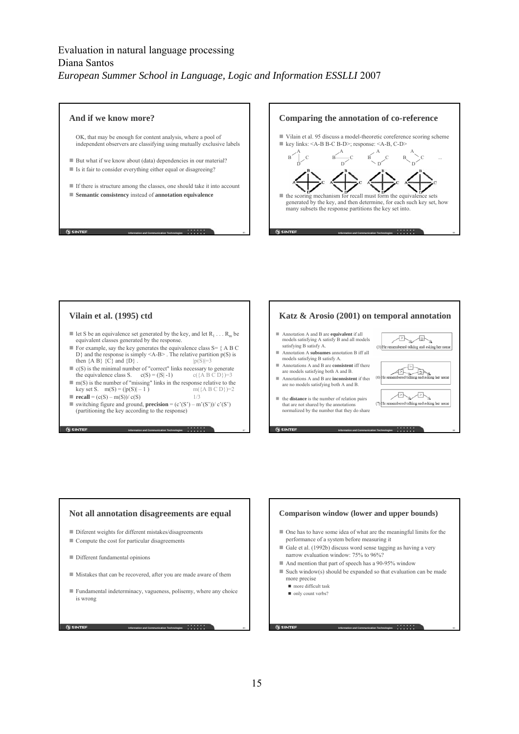

### **Vilain et al. (1995) ctd**

- let S be an equivalence set generated by the key, and let  $R_1 \ldots R_m$  be equivalent classes generated by the response.
- For example, say the key generates the equivalence class  $S = \{ A \ B \ C$ D} and the response is simply <A-B> . The relative partition p(S) is then  ${AB} {C}$  and  ${D}$ .  $|p(S)|=3$
- $\bullet$  c(S) is the minimal number of "correct" links necessary to generate the equivalence class S. c(S) = (|S| -1) c({A B C D})=3
- $\blacksquare$  m(S) is the number of "missing" links in the response relative to the key set S. m(S) = (|p(S)| – 1 ) m({A B C D})=2 **recall** =  $(c(S) - m(S))/c(S)$  1/3
- switching figure and ground, **precision** = (c'(S') m'(S'))/ c'(S') (partitioning the key according to the response)

**Information and Communication Technologies 87 87 87** 

### **Katz & Arosio (2001) on temporal annotation**

- Annotation A and B are **equivalent** if all models satisfying A satisfy B and all models satisfying B satisfy A.
- Annotation A **subsumes** annotation B iff all models satisfying B satisfy A.
- Annotations A and B are **consistent** iff there are models satisfying both A and B.
- Annotations A and B are **inconsistent** if there are no models satisfying both A and B.
- the **distance** is the number of relation pairs that are not shared by the annotations normalized by the number that they do share



**Information and Communication Technologies 88** 

## **Not all annotation disagreements are equal** ■ Diferent weights for different mistakes/disagreements Compute the cost for particular disagreements Different fundamental opinions Mistakes that can be recovered, after you are made aware of them Fundamental indeterminacy, vagueness, polisemy, where any choice is wrong **SINTEF**

**Information and Communication Technologies 899 899** 



### 15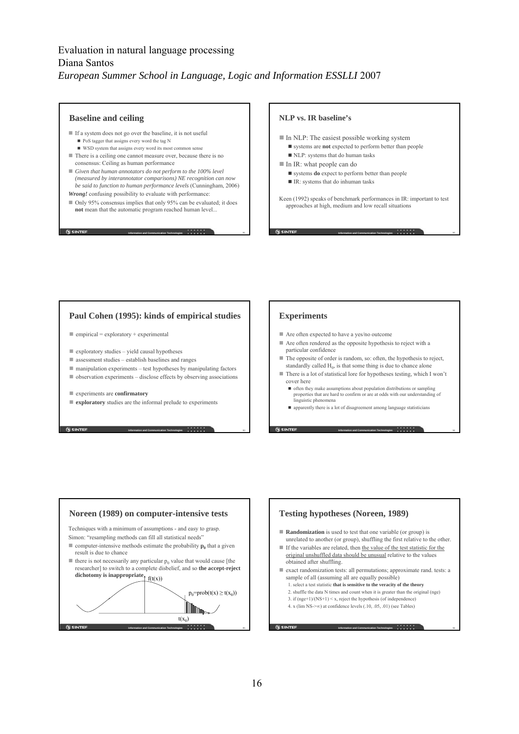#### **Baseline and ceiling**

- If a system does not go over the baseline, it is not useful ■ PoS tagger that assigns every word the tag N
	- $\blacksquare$  WSD system that assigns every word its most comm
- There is a ceiling one cannot measure over, because there is no consensus: Ceiling as human performance
- *Given that human annotators do not perform to the 100% level (measured by interannotator comparisons) NE recognition can now be said to function to human performance levels* (Cunningham, 2006) *Wrong!* confusing possibility to evaluate with performance:
- Only 95% consensus implies that only 95% can be evaluated; it does **not** mean that the automatic program reached human level...

**Information and Communication Technologies** 91

**Information and Communication Technologies** 93 a 9 a 9 a 9 3 **93** 

**G** SINTEF

#### **NLP vs. IR baseline's**

- $\blacksquare$  In NLP: The easiest possible working system systems are **not** expected to perform better than people
	- NLP: systems that do human tasks
- In IR: what people can do
	- systems **do** expect to perform better than people
	- IR: systems that do inhuman tasks

Keen (1992) speaks of benchmark performances in IR: important to test approaches at high, medium and low recall situations

**Information and Communication Technologies 82 122**  122 **123** 

**Information and Communication Technologies 94 and 194 and 194 and 194 and 194 and 194 and 194 and 194 and 194 and 194 and 194 and 194 and 194 and 194 and 194 and 194 and 194 and 195 and 196 and 197 and 197 and 197 and 1** 

**Information and Communication Technologies** 96 **96** 

### **Paul Cohen (1995): kinds of empirical studies**

- $\blacksquare$  empirical = exploratory + experimental
- $\blacksquare$  exploratory studies yield causal hypotheses
- $\blacksquare$  assessment studies establish baselines and ranges
- $\blacksquare$  manipulation experiments test hypotheses by manipulating factors
- $\blacksquare$  observation experiments disclose effects by observing associations
- experiments are **confirmatory**
- **exploratory** studies are the informal prelude to experiments

### **Experiments**

- Are often expected to have a yes/no outcome
- Are often rendered as the opposite hypothesis to reject with a particular confidence
- $\blacksquare$  The opposite of order is random, so: often, the hypothesis to reject, standardly called  $H_0$ , is that some thing is due to chance alone
- There is a lot of statistical lore for hypotheses testing, which I won't cover here
	- often they make assumptions about population distributions or sampling properties that are hard to confirm or are at odds with our understanding of linguistic phenomena
	- apparently there is a lot of disagreement among language statisticians





**G SINTER**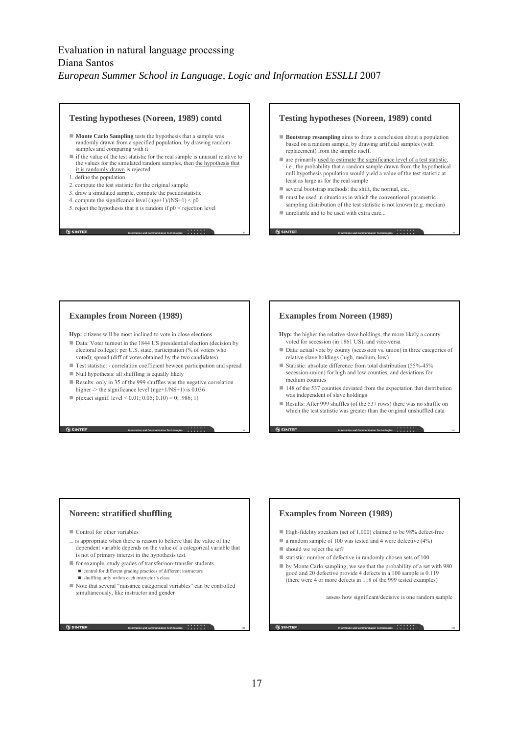#### **Testing hypotheses (Noreen, 1989) contd**

- **Monte Carlo Sampling** tests the hypothesis that a sample was randomly drawn from a specified population, by drawing random samples and comparing with it
- $\blacksquare$  if the value of the test statistic for the real sample is unusual relative to the values for the simulated random samples, then the hypothesis that it is randomly drawn is rejected

**Information and Communication Technologies a a a a a a a a b b b b b b b b** 

**Information and Communication Technologies** 999 **999** 

- 1. define the population
- 2. compute the test statistic for the original sample
- 3. draw a simulated sample, compute the pseudostatistic
- 4. compute the significance level  $(nge+1)/(NS+1) < p0$
- 5. reject the hypothesis that it is random if  $p0 \le$  rejection level

**N** SINTEF

#### **Testing hypotheses (Noreen, 1989) contd**

- **Bootstrap resampling** aims to draw a conclusion about a population based on a random sample, by drawing artificial samples (with replacement) from the sample itself.
- are primarily used to estimate the significance level of a test statistic, i.e., the probability that a random sample drawn from the hypothetical null hypothesis population would yield a value of the test statistic at least as large as for the real sample
- $\blacksquare$  several bootstrap methods: the shift, the normal, etc.
- must be used in situations in which the conventional parametric sampling distribution of the test statistic is not known (e.g. median)

**Information and Communication Technologies** 98

unreliable and to be used with extra care...

### **Examples from Noreen (1989)**

**Hyp:** citizens will be most inclined to vote in close elections

- Data: Voter turnout in the 1844 US presidential election (decision by electoral college): per U.S. state, participation (% of voters who voted); spread (diff of votes obtained by the two candidates)
- Test statistic: **-** correlation coefficient beween participation and spread
- $\blacksquare$  Null hypothesis: all shuffling is equally likely
- Results: only in 35 of the 999 shuffles was the negative correlation higher  $\ge$  the significance level (nge+1/NS+1) is 0.036
- p(exact signif. level < 0.01; 0.05; 0.10) = 0; .986; 1)

### **Examples from Noreen (1989)**

**Hyp:** the higher the relative slave holdings, the more likely a county voted for secession (in 1861 US), and vice-versa

- Data: actual vote by county (secession vs. union) in three categories of relative slave holdings (high, medium, low)
- Statistic: absolute difference from total distribution  $(55\% 45\%)$ secession-union) for high and low counties, and deviations for medium counties
- 148 of the 537 counties deviated from the expectation that distribution was independent of slave holdings
- Results: After 999 shuffles (of the 537 rows) there was no shuffle on which the test statistic was greater than the original unshuffled data

**Information and Communication Technologies** 100

### **Noreen: stratified shuffling**

Control for other variables

**SINTER** 

- ... is appropriate when there is reason to believe that the value of the dependent variable depends on the value of a categorical variable that is not of primary interest in the hypothesis test.
- for example, study grades of transfer/non-transfer students control for different grading practices of different instructors shuffling only within each instructor's class
- Note that several "nuisance categorical variables" can be controlled simultaneously, like instructor and gender

**Information and Communication Technologies** 101

# **Examples from Noreen (1989)**

- $\blacksquare$  High-fidelity speakers (set of 1,000) claimed to be 98% defect-free
- $\blacksquare$  a random sample of 100 was tested and 4 were defective (4%)
- should we reject the set?
- statistic: number of defective in randomly chosen sets of 100
- by Monte Carlo sampling, we see that the probability of a set with 980 good and 20 defective provide 4 defects in a 100 sample is 0.119 (there were 4 or more defects in 118 of the 999 tested examples)

assess how significant/decisive is one random sample

**Information and Communication Technologies** 102 102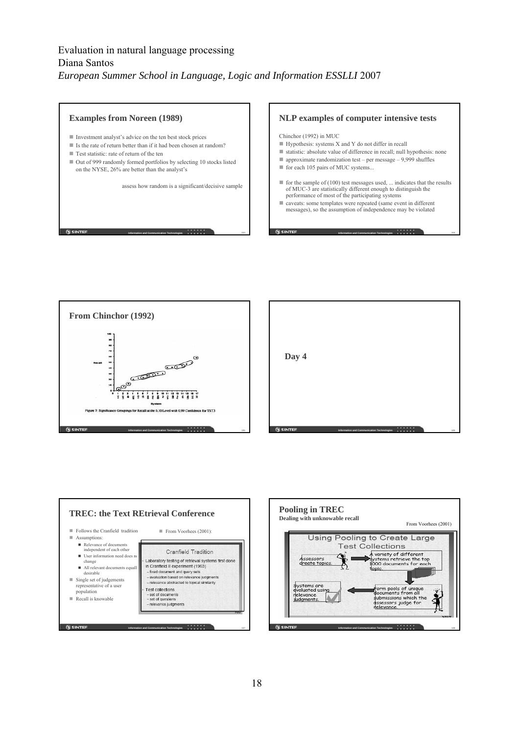







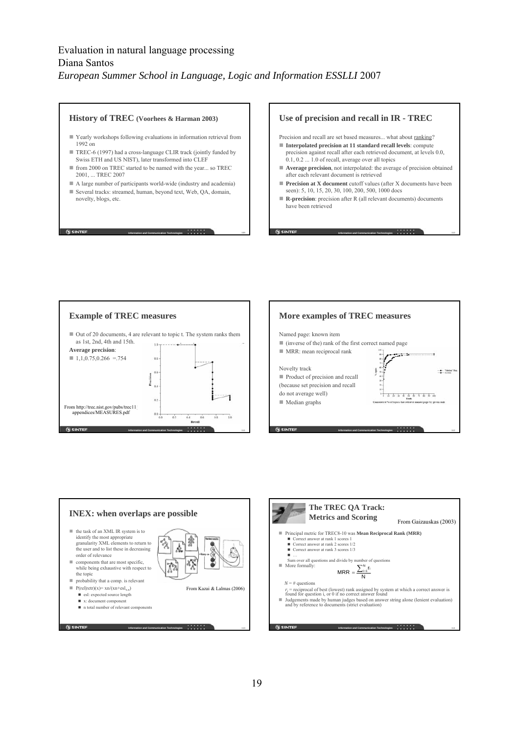#### **History of TREC (Voorhees & Harman 2003)**

- Yearly workshops following evaluations in information retrieval from 1992 on
- TREC-6 (1997) had a cross-language CLIR track (jointly funded by Swiss ETH and US NIST), later transformed into CLEF
- from 2000 on TREC started to be named with the year... so TREC 2001, ... TREC 2007
- A large number of participants world-wide (industry and academia)
- Several tracks: streamed, human, beyond text, Web, QA, domain, novelty, blogs, etc.

**G** SINTEF

**Information and Communication Technologies** 109

### **Use of precision and recall in IR - TREC**

- Precision and recall are set based measures... what about ranking?
- **Interpolated precision at 11 standard recall levels**: compute precision against recall after each retrieved document, at levels 0.0, 0.1, 0.2 ... 1.0 of recall, average over all topics
- **Average precision**, not interpolated: the average of precision obtained after each relevant document is retrieved
- **Precision at X document** cutoff values (after X documents have been seen): 5, 10, 15, 20, 30, 100, 200, 500, 1000 docs

**Information and Communication Technologies** 1 10 110

 **R-precision**: precision after R (all relevant documents) documents have been retrieved

**G** SINTEF







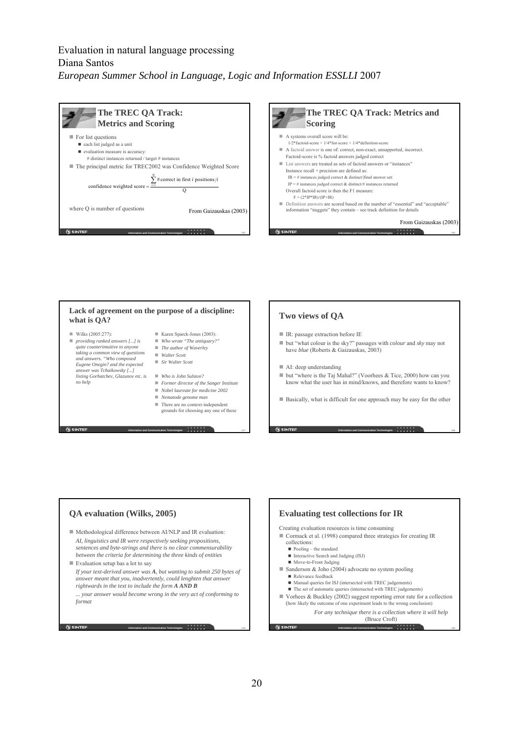





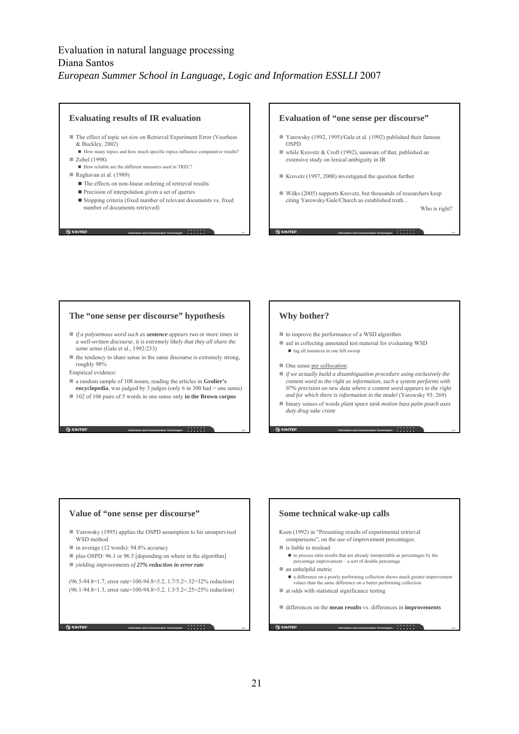#### **Evaluating results of IR evaluation**

- $\blacksquare$  The effect of topic set size on Retrieval Experiment Error (Voorhees & Buckley, 2002)
- How many topics and how much specific topics influence comparative results? ■ Zobel (1998)
	- How reliable are the different measures used in TREC?
- Raghavan et al. (1989)
	- The effects on non-linear ordering of retrieval results
	- Precision of interpolation given a set of queries
	- $\blacksquare$  Stopping criteria (fixed number of relevant documents vs. fixed number of documents retrieved)

**Information and Communication Technologies** 1 1 121

**Information and Communication Technologies** 1 **23** 123

**N** SINTEF

#### **Evaluation of "one sense per discourse"**

- Yarowsky (1992, 1995)/Gale et al. (1992) published their famous OSPD
- while Krovetz & Croft (1992), unaware of that, published an extensive study on lexical ambiguity in IR
- Krovetz (1997, 2000) investigated the question further
- Wilks (2005) supports Krovetz, but thousands of researchers keep citing Yarowsky/Gale/Church as established truth...

**Information and Communication Technologies** 1 **122** 

Who is right?

### **The "one sense per discourse" hypothesis**

- *if a polysemous word such as sentence appears two or more times in a well-written discourse, it is extremely likely that they all share the same sense* (Gale et al., 1992:233)
- $\blacksquare$  the tendency to share sense in the same discourse is extremely strong, roughly 98%
- Empirical evidence:

**G** SINTEF

- a random sample of 108 nouns, reading the articles in **Grolier's encyclopedia**, was judged by 3 judges (only 6 in 300 had > one sense)
- 102 of 106 pairs of 5 words in one sense only **in the Brown corpus**

### **Why bother?**

- to improve the performance of a WSD algorithm
- $\blacksquare$  aid in collecting annotated test material for evaluating WSD  $\blacksquare$  tag all instances in one fell swoop
- One sense per collocation:
- *if we actually build a disambiguation procedure using exclusively the content word to the right as information, such a system performs with 97% precision on new data where a content word appears to the right and for which there is information in the model* (Yarowsky 93: 269)
- binary senses of words *plant space tank motion bass palm poach axes duty drug sake crane*

**Information and Communication Technologies** 1 **24** 124

**Information and Communication Technologies** 1 **266** 

## **Value of "one sense per discourse"** Yarowsky (1995) applies the OSPD assumption to his unsupervised WSD method  $\blacksquare$  in average (12 words): 94.8% accuracy ■ plus OSPD: 96.1 or 96.5 [depending on where in the algorithm] *yielding improvements of 27% reduction in error rate* (96.5-94.8=1.7, error rate=100-94.8=5.2, 1.7/5.2=.32=32% reduction) (96.1-94.8=1.3, error rate=100-94.8=5.2, 1.3/5.2=.25=25% reduction)

**Information and Communication Technologies** 1 **25** 125

### **Some technical wake-up calls** Keen (1992) in "Presenting results of experimental retrieval comparisons", on the use of improvement percentages: ■ is liable to mislead  $\blacksquare$  to process ratio results that are already interpretable as percentages by the percentage improvement – a sort of double percentage an unhelpful metric a difference on a poorly performing collection shows much greater improvement values than the same difference on a better performing collection  $\blacksquare$  at odds with statistical significance testing

differences on the **mean results** vs. differences in **improvements**

**SINTER**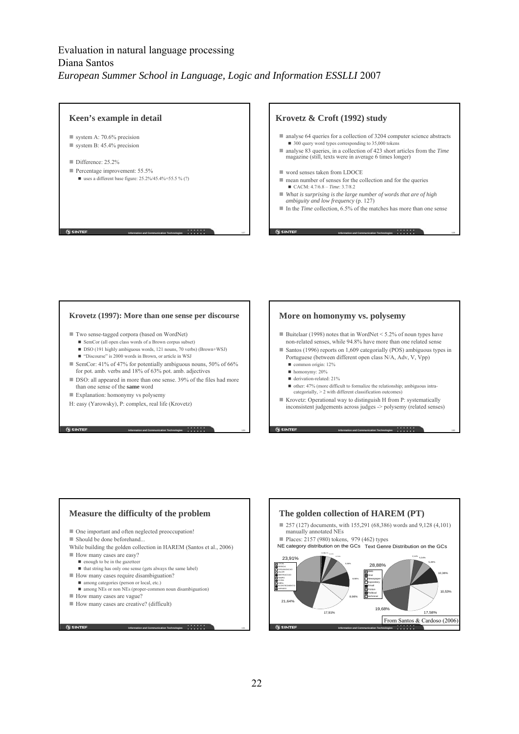

#### **Krovetz (1997): More than one sense per discourse**

- Two sense-tagged corpora (based on WordNet)
	- SemCor (all open class words of a Brown corpus subset)
	- DSO (191 highly ambiguous words, 121 nouns, 70 verbs) (Brown+WSJ)
	- "Discourse" is 2000 words in Brown, or article in WSJ
- SemCor: 41% of 47% for potentially ambiguous nouns, 50% of 66% for pot. amb. verbs and 18% of 63% pot. amb. adjectives
- DSO: all appeared in more than one sense. 39% of the files had more than one sense of the **same** word
- Explanation: homonymy vs polysemy

**G** SINTEF

H: easy (Yarowsky), P: complex, real life (Krovetz)

#### **More on homonymy vs. polysemy**

- Buitelaar (1998) notes that in WordNet < 5.2% of noun types have non-related senses, while 94.8% have more than one related sense
- Santos (1996) reports on 1,609 categorially (POS) ambiguous types in Portuguese (between different open class N/A, Adv, V, Vpp)
	- common origin: 12%
	- homonymy: 20%
	- derivation-related: 21%
	- $\blacksquare$  other: 47% (more difficult to formalize the relationship; ambiguous intracategorially,  $> 2$  with different classification outcomes)
- Krovetz: Operational way to distinguish H from P: systematically inconsistent judgements across judges -> polysemy (related senses)

**Information and Communication Technologies** 1 **1 130** 



**Information and Communication Technologies** 1 **1** 131

**Information and Communication Technologies** 129

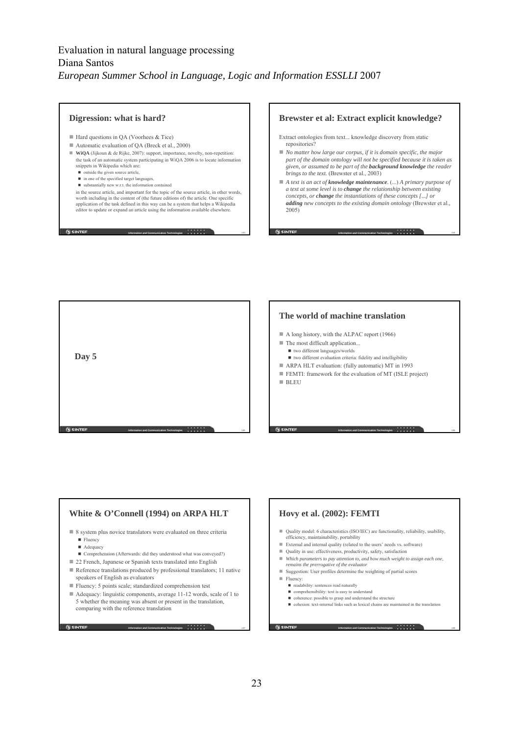**Digression: what is hard?** ■ Hard questions in QA (Voorhees & Tice) ■ Automatic evaluation of QA (Breck et al., 2000) **WiQA** (Jijkoun & de Rijke, 2007): support, importance, novelty, non-repetition: the task of an automatic system participating in WiQA 2006 is to locate information snippets in Wikipedia which are:  $\overrightarrow{=}$  outside the given source article ■ in one of the specified target languages,  $\blacksquare$  substantially new w.r.t. the information contained in the source article, and important for the topic of the source article, in other words, worth including in the content of (the future editions of) the article. One specific application of the task defined in this way can be a system that helps a Wikipedia editor to update or expand an article using the information available elsewhere. **N** SINTEF **Information and Communication Technologies** 133

### **Brewster et al: Extract explicit knowledge?**

- Extract ontologies from text... knowledge discovery from static repositories?
- *No matter how large our corpus, if it is domain specific, the major part of the domain ontology will not be specified because it is taken as given, or assumed to be part of the background knowledge the reader brings to the text.* (Brewster et al., 2003)
- *A text is an act of knowledge maintenance.* (...) *A primary purpose of a text at some level is to change the relationship between existing concepts, or change the instantiations of these concepts [...] or adding new concepts to the existing domain ontology* (Brewster et al., 2005)

**Information and Communication Technologies** 1 1 1 134

**Information and Communication Technologies** 135 135 **Day 5**





**G** SINTEF

**Information and Communication Technologies** 1 **1 137** 

### **Hovy et al. (2002): FEMTI**

- Quality model: 6 characteristics (ISO/IEC) are functionality, reliability, usability, efficiency, maintainability, portability
- External and internal quality (related to the users' needs vs. software)
- Quality in use: effectiveness, productivity, safety, satisfaction
- *Which parameters to pay attention to, and how much weight to assign each one, remains the prerrogative of the evaluator*
- Suggestion: User profiles determine the weighting of partial scores
- Fluency:

**G** SINTEF

- readability: sentences read naturally
- comprehensibility: text is easy to understand
- coherence: possible to grasp and understand the structure
- cohesion: text-internal links such as lexical chains are maintained in the translation

**G SINTER** 

**Information and Communication Technologies** 1 **1 138**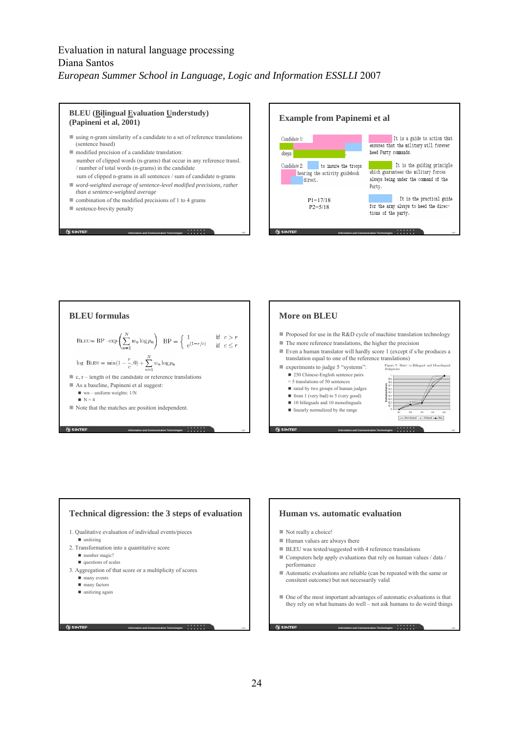







#### **Human vs. automatic evaluation**

- **BLEU** was tested/suggested with 4 reference translations
- $\blacksquare$  <br> Computers help apply evaluations that rely on human values / data /
- Automatic evaluations are reliable (can be repeated with the same or consitent outcome) but not necessarily valid
- One of the most important advantages of automatic evaluations is that they rely on what humans do well – not ask humans to do weird things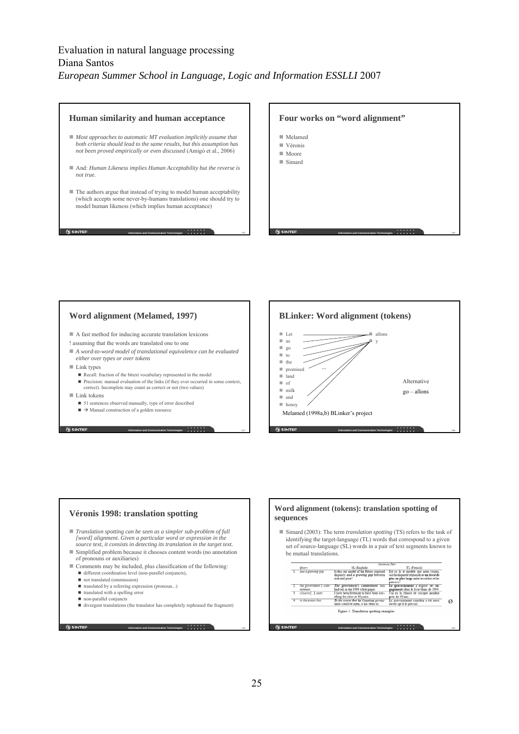#### **Human similarity and human acceptance**

- *Most approaches to automatic MT evaluation implicitly assume that both criteria should lead to the same results, but this assumption has not been proved empirically or even discussed* (Amigó et al., 2006)
- And: *Human Likeness implies Human Acceptability but the reverse is not true.*
- The authors argue that instead of trying to model human acceptability (which accepts some never-by-humans translations) one should try to model human likeness (which implies human acceptance)

**Information and Communication Technologies 145** 

#### **Four works on "word alignment"**

- Melamed
- Véronis Moore
- Simard

**G SINTE** 

### **Word alignment (Melamed, 1997)**

A fast method for inducing accurate translation lexicons

! assuming that the words are translated one to one

- *A word-to-word model of translational equivalence can be evaluated either over types or over tokens*
- $\blacksquare$  Link types

**G** SINTEF

 $\blacksquare$  Recall: fraction of the bitext vocabulary represented in the model Precision: manual evaluation of the links (if they ever occurred in some context, correct). Incomplete may count as correct or not (two values)

- Link tokens
	- 51 sentences observed manually, type of error described
	- $\blacktriangleright$  Manual construction of a golden resource



**Information and Communication Technologies 146** 

#### **Véronis 1998: translation spotting** *Translation spotting can be seen as a simpler sub-problem of full [word] alignment. Given a particular word or expression in the source text, it consists in detecting its translation in the target text.* Simplified problem because it chooses content words (no annotation of pronouns or auxiliaries) Comments may be included, plus classification of the following: different coordination level (non-parallel conjuncts), not translated (ommisssion) ■ translated by a referring expression (pronoun...) ■ translated with a spelling error non-parallel conjuncts divergent translations (the translator has completely rephrased the fragment) **SINTEF**

**Information and Communication Technologies** 149

**Information and Communication Technologies** 147

#### **Word alignment (tokens): translation spotting of sequences**

 Simard (2003): The term *translation spotting* (TS) refers to the task of identifying the target-language (TL) words that correspond to a given set of source-language (SL) words in a pair of text segments known to be mutual translations.

|               | Sentence Patr                    |                                                                                                    |                                                                                                                                               |  |  |  |  |
|---------------|----------------------------------|----------------------------------------------------------------------------------------------------|-----------------------------------------------------------------------------------------------------------------------------------------------|--|--|--|--|
|               | Owers                            | SL (English)                                                                                       | TL (French)                                                                                                                                   |  |  |  |  |
|               | and a growing gap                | Is this our model of the future, regional<br>dispatity and a growing gap between<br>rich and poor? | Est ce là le modèle que nous visons.<br>soit la disparité régionale et un fossé de<br>plus en plus large entre les riches et les<br>pairvres? |  |  |  |  |
|               | the government's com-<br>mitment | The government's commitment was<br>laid out in the 1994 white paper.                               | Le gouvernement a exposé ses en-<br>gagements dans le livre blanc de 1994.                                                                    |  |  |  |  |
|               | 3. close to [_] years            | I have been fortunate to have been trav-<br>elling for close to 40 years.                          | J'ai eu la chance de voyager pendant<br>près de 40 ans.                                                                                       |  |  |  |  |
| Ŧ             | to the extent that               | To the extent that the Canadian govern-<br>ment could be open, it has been so.                     | Le gouvernement canadien a été aussi<br>ouvert qu'il le pouvait.                                                                              |  |  |  |  |
|               |                                  | Figure 1: Translation spotting examples                                                            |                                                                                                                                               |  |  |  |  |
|               |                                  |                                                                                                    |                                                                                                                                               |  |  |  |  |
| <b>SINTEF</b> |                                  | Information and Communication Technologies                                                         | .                                                                                                                                             |  |  |  |  |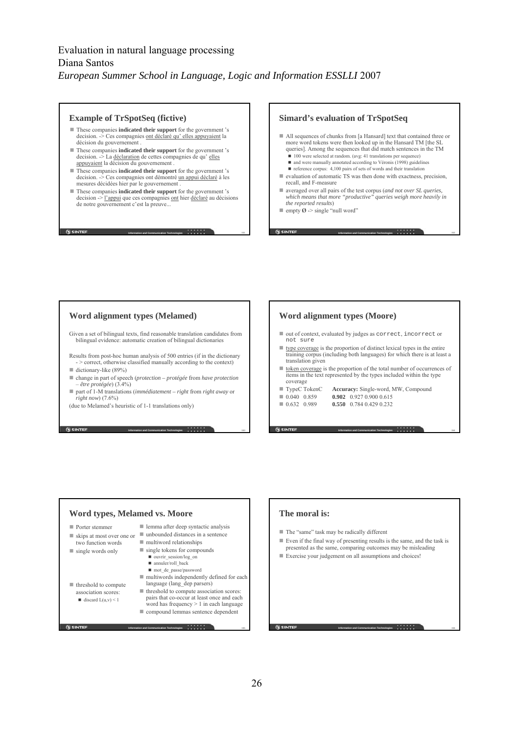### **Example of TrSpotSeq (fictive)**

- These companies **indicated their support** for the government 's decision. -> Ces compagnies ont déclaré qu'elles appuyaient la décision du gouvernement
- These companies **indicated their support** for the government 's decision.  $\overline{\phantom{a}}$  La déclaration de cettes compagnies de qu'elles appuyaient la décision du gouvernement .
- These companies **indicated their support** for the government 's decision. -> Ces compagnies ont démontré un appui déclaré à les mesures décidées hier par le gouvernement
- These companies **indicated their support** for the government 's decision  $\geq$  l'appui que ces compagnies ont hier déclaré au décisions de notre gouvernement c'est la preuve...

**Information and Communication Technologies** 1 1 151

**G** SINTEF

### **Simard's evaluation of TrSpotSeq**

- All sequences of chunks from [a Hansard] text that contained three or more word tokens were then looked up in the Hansard TM [the SL queries]. Among the sequences that did match sentences in the TM ■ 100 were selected at random. (avg: 41 translations per sequence)
	- and were manually annotated according to Véronis (1998) guidelines
	- $\blacksquare$  reference corpus: 4,100 pairs of sets of words and their translation
- evaluation of automatic TS was then done with exactness, precision, recall, and F-measure
- averaged over all pairs of the test corpus (*and not over SL queries, which means that more "productive" queries weigh more heavily in the reported results*)

**Information and Communication Technologies** 1 **152** 

**Information and Communication Technologies** 1 **1 154** 

**Information and Communication Technologies** 1 **1 1 156** 

 $\blacksquare$  empty Ø -> single "null word"

### **Word alignment types (Melamed)**

Given a set of bilingual texts, find reasonable translation candidates from bilingual evidence: automatic creation of bilingual dictionaries

Results from post-hoc human analysis of 500 entries (if in the dictionary - > correct, otherwise classified manually according to the context)

 $\blacksquare$  dictionary-like (89%)

**SINTER** 

- change in part of speech (*protection protégée* from *have protection* – *être protégée*) (3.4%)
- part of 1-M translations (*immédiatement right* from *right away* or *right now*) (7.6%)

(due to Melamed's heuristic of 1-1 translations only)

### **Word alignment types (Moore)**

- $\blacksquare$  out of context, evaluated by judges as correct, incorrect or not sure
- $\blacksquare$  type coverage is the proportion of distinct lexical types in the entire training corpus (including both languages) for which there is at least a translation given
- token coverage is the proportion of the total number of occurrences of items in the text represented by the types included within the type coverage
- TypeC TokenC **Accuracy:** Single-word, MW, Compound
- 0.040 0.859 **0.902** 0.927 0.900 0.615
- 0.632 0.989 **0.550** 0.784 0.429 0.232
	-

#### **Word types, Melamed vs. Moore** ■ Porter stemmer skips at most over one or two function words single words only  $\blacksquare$  threshold to compute association scores:  $\blacksquare$  discard  $L(u,v) \leq 1$ ■ lemma after deep syntactic analysis ■ unbounded distances in a sentence  $\blacksquare$  multiword relationships single tokens for compounds ■ ouvrir\_session/log\_on annuler/roll\_back ■ mot\_de\_passe/password ■ multiwords independently defined for each language (lang\_dep parsers)  $\blacksquare$  threshold to compute association scores: pairs that co-occur at least once and each word has frequency > 1 in each language

**Information and Communication Technologies** 155 ■ compound lemmas sentence dependent

**Information and Communication Technologies** 1 **1 153** 

## **The moral is:**

- The "same" task may be radically different
- Even if the final way of presenting results is the same, and the task is presented as the same, comparing outcomes may be misleading
- Exercise your judgement on all assumptions and choices!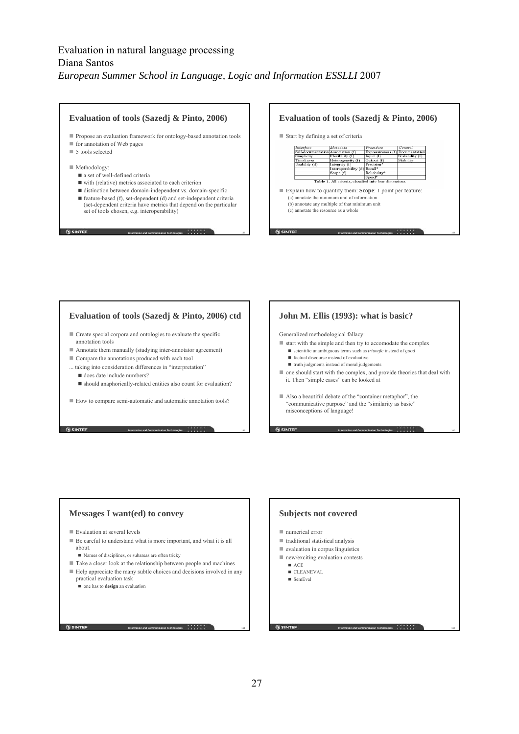#### **Evaluation of tools (Sazedj & Pinto, 2006) Evaluation of tools (Sazedj & Pinto, 2006)** Propose an evaluation framework for ontology-based annotation tools Start by defining a set of criteria ■ for annotation of Web pages *Interface*<br>Self-documentatio<br>Simplicity Metadata Metadata<br>Association (f)<br>Flexibility (f)<br>Heterogeneity (f ■ 5 tools selected ss (f) Documentatio<br>Scalability (f) Expressiv<br>Input (f) Flexibility (f) Input (f)<br>Heterogeneity (f) Output (f)<br>Integrity (f) Precision\* Stability Timeliness<br>Usability (d) Methodology: Integrity (1) Precision\*<br>Interoperability (d) Recall\*<br>Scope (f) Reliability\* a set of well-defined criteria Speed\*<br>All criteria, classified into four direct Table 1 ■ with (relative) metrics associated to each criterion distinction between domain-independent vs. domain-specific Explain how to quantify them: **Scope**: 1 point per feature:  $(a)$  annotate the minimum unit of information  $\blacksquare$  feature-based (f), set-dependent (d) and set-independent criteria (b) annotate any multiple of that minimum unit (set-dependent criteria have metrics that depend on the particular (c) annotate the resource as a whole set of tools chosen, e.g. interoperability) **N** SINTEF **G SINTEF Information and Communication Technologies** 1 1 157 **Information and Communication Technologies** 1 **158**

### **Evaluation of tools (Sazedj & Pinto, 2006) ctd**

- Create special corpora and ontologies to evaluate the specific annotation tools
- Annotate them manually (studying inter-annotator agreement)
- Compare the annotations produced with each tool
- ... taking into consideration differences in "interpretation"
- does date include numbers?
- should anaphorically-related entities also count for evaluation?

**Information and Communication Technologies** 1 **1 159** 

**Information and Communication Technologies** 1 **161** 161

How to compare semi-automatic and automatic annotation tools?

### **John M. Ellis (1993): what is basic?**

Generalized methodological fallacy:

- $\blacksquare$  start with the simple and then try to accomodate the complex
	- scientific unambiguous terms such as *triangle* instead of *good*  $\blacksquare$  factual discourse instead of evaluative
	- truth judgments instead of moral judgements
	-
- one should start with the complex, and provide theories that deal with it. Then "simple cases" can be looked at

**Information and Communication Technologies** 1 **1 160** 

**Information and Communication Technologies** 1 **1 162** 

 Also a beautiful debate of the "container metaphor", the "communicative purpose" and the "similarity as basic" misconceptions of language!

### **Messages I want(ed) to convey**

- Evaluation at several levels
- Be careful to understand what is more important, and what it is all about.
	- Names of disciplines, or subareas are often tricky
- Take a closer look at the relationship between people and machines
- Help appreciate the many subtle choices and decisions involved in any practical evaluation task

one has to **design** an evaluation

**G** SINTEF

### **Subjects not covered**

- numerical error
- $\blacksquare$  traditional statistical analysis
- $\blacksquare$  evaluation in corpus linguistics
- new/exciting evaluation contests
	- ACE
	- CLEANEVAL ■ SemEval
	-

 $0s$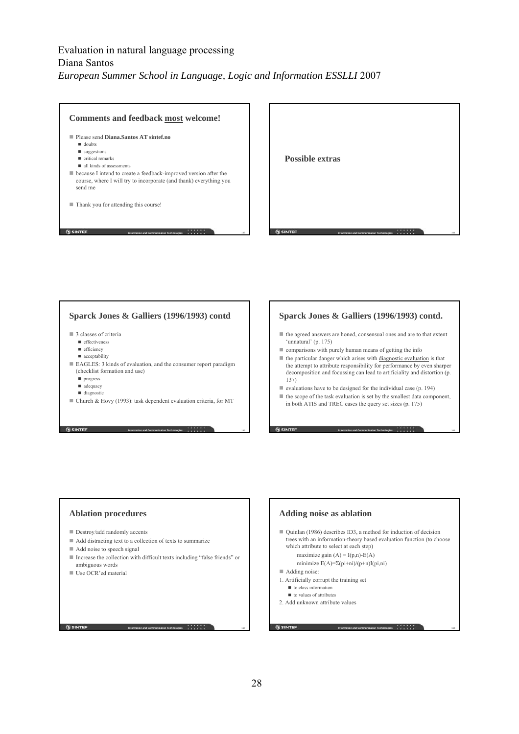

### **Sparck Jones & Galliers (1996/1993) contd**

- 3 classes of criteria
	- effectiveness
	- $\blacksquare$  efficiency
	- $\blacksquare$  acceptability
- EAGLES: 3 kinds of evaluation, and the consumer report paradigm (checklist formation and use)
	- **n** progress
	- adequacy
	- diagnostic
- Church & Hovy (1993): task dependent evaluation criteria, for MT

**Information and Communication Technologies** 1 **1 1 165** 

#### **Sparck Jones & Galliers (1996/1993) contd.**

- the agreed answers are honed, consensual ones and are to that extent 'unnatural' (p. 175)
- comparisons with purely human means of getting the info
- $\blacksquare$  the particular danger which arises with diagnostic evaluation is that the attempt to attribute responsibility for performance by even sharper decomposition and focussing can lead to artificiality and distortion (p. 137)
- valuations have to be designed for the individual case  $(p. 194)$
- $\blacksquare$  the scope of the task evaluation is set by the smallest data component, in both ATIS and TREC cases the query set sizes (p. 175)

**Information and Communication Technologies** 1 **1 166** 

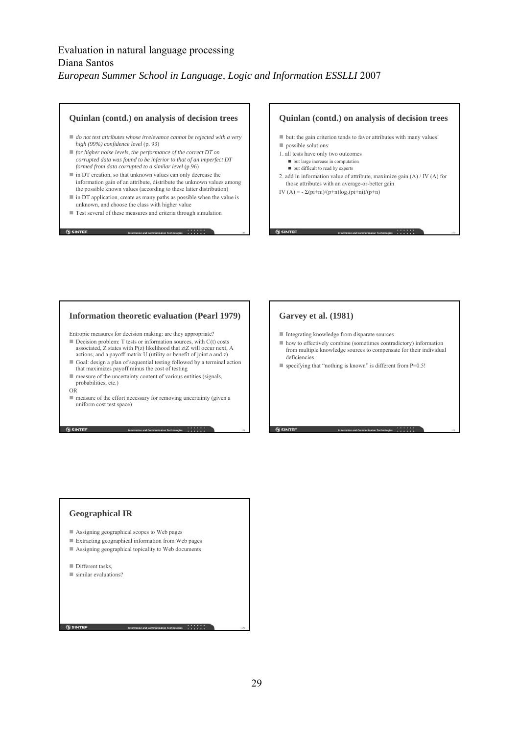#### **Quinlan (contd.) on analysis of decision trees**

- *do not test attributes whose irrelevance cannot be rejected with a very high (99%) confidence level* (p. 93)
- *for higher noise levels, the performance of the correct DT on corrupted data was found to be inferior to that of an imperfect DT formed from data corrupted to a similar level* (p.96)
- in DT creation, so that unknown values can only decrease the information gain of an attribute, distribute the unknown values among the possible known values (according to these latter distribution)
- $\blacksquare$  in DT application, create as many paths as possible when the value is unknown, and choose the class with higher value

**Information and Communication Technologies** 1699 1699

**Information and Communication Technologies** 1 **171** 171

**Information and Communication Technologies** 1 **173** 

■ Test several of these measures and criteria through simulation

#### **Quinlan (contd.) on analysis of decision trees**

- but: the gain criterion tends to favor attributes with many values!
- possible solutions:

**G SINTER** 

- 1. all tests have only two outcomes ■ but large increase in computation
- $\blacksquare$  but difficult to read by experts 2. add in information value of attribute, maximize gain (A) / IV (A) for
- those attributes with an average-or-better gain

**Information and Communication Technologies** 1 1 110 170

**Information and Communication Technologies** 1 **172** 

IV (A) =  $-\Sigma$ (pi+ni)/(p+n)log<sub>2</sub>(pi+ni)/(p+n)

### **Information theoretic evaluation (Pearl 1979)**

Entropic measures for decision making: are they appropriate?

- Decision problem: T tests or information sources, with  $C(t)$  costs associated, Z states with P(z) likelihood that ztZ will occur next, A actions, and a payoff matrix U (utility or benefit of joint a and z)
- Goal: design a plan of sequential testing followed by a terminal action that maximizes payoff minus the cost of testing
- measure of the uncertainty content of various entities (signals, probabilities, etc.)
- OR

**N** SINTEF

 measure of the effort necessary for removing uncertainty (given a uniform cost test space)

### **Garvey et al. (1981)**

- Integrating knowledge from disparate sources
- how to effectively combine (sometimes contradictory) information from multiple knowledge sources to compensate for their individual deficiencies
- specifying that "nothing is known" is different from P=0.5!

**Geographical IR**

- Assigning geographical scopes to Web pages
- Extracting geographical information from Web pages
- Assigning geographical topicality to Web documents

Different tasks

**G** SINTEF

■ similar evaluations?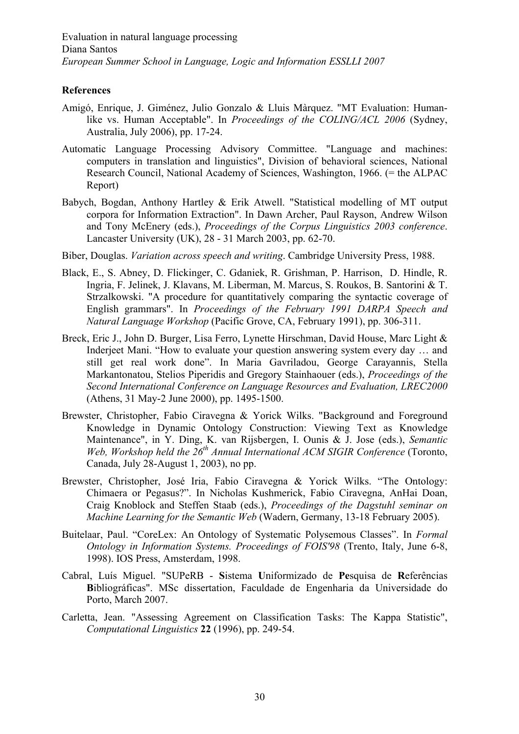### **References**

- Amigó, Enrique, J. Giménez, Julio Gonzalo & Lluis Màrquez. "MT Evaluation: Humanlike vs. Human Acceptable". In *Proceedings of the COLING/ACL 2006* (Sydney, Australia, July 2006), pp. 17-24.
- Automatic Language Processing Advisory Committee. "Language and machines: computers in translation and linguistics", Division of behavioral sciences, National Research Council, National Academy of Sciences, Washington, 1966. (= the ALPAC Report)
- Babych, Bogdan, Anthony Hartley & Erik Atwell. "Statistical modelling of MT output corpora for Information Extraction". In Dawn Archer, Paul Rayson, Andrew Wilson and Tony McEnery (eds.), *Proceedings of the Corpus Linguistics 2003 conference*. Lancaster University (UK), 28 - 31 March 2003, pp. 62-70.
- Biber, Douglas. *Variation across speech and writing*. Cambridge University Press, 1988.
- Black, E., S. Abney, D. Flickinger, C. Gdaniek, R. Grishman, P. Harrison, D. Hindle, R. Ingria, F. Jelinek, J. Klavans, M. Liberman, M. Marcus, S. Roukos, B. Santorini & T. Strzalkowski. "A procedure for quantitatively comparing the syntactic coverage of English grammars". In *Proceedings of the February 1991 DARPA Speech and Natural Language Workshop* (Pacific Grove, CA, February 1991), pp. 306-311.
- Breck, Eric J., John D. Burger, Lisa Ferro, Lynette Hirschman, David House, Marc Light & Inderjeet Mani. "How to evaluate your question answering system every day … and still get real work done". In Maria Gavriladou, George Carayannis, Stella Markantonatou, Stelios Piperidis and Gregory Stainhaouer (eds.), *Proceedings of the Second International Conference on Language Resources and Evaluation, LREC2000*  (Athens, 31 May-2 June 2000), pp. 1495-1500.
- Brewster, Christopher, Fabio Ciravegna & Yorick Wilks. "Background and Foreground Knowledge in Dynamic Ontology Construction: Viewing Text as Knowledge Maintenance", in Y. Ding, K. van Rijsbergen, I. Ounis & J. Jose (eds.), *Semantic Web, Workshop held the 26th Annual International ACM SIGIR Conference* (Toronto, Canada, July 28-August 1, 2003), no pp.
- Brewster, Christopher, José Iria, Fabio Ciravegna & Yorick Wilks. "The Ontology: Chimaera or Pegasus?". In Nicholas Kushmerick, Fabio Ciravegna, AnHai Doan, Craig Knoblock and Steffen Staab (eds.), *Proceedings of the Dagstuhl seminar on Machine Learning for the Semantic Web* (Wadern, Germany, 13-18 February 2005).
- Buitelaar, Paul. "CoreLex: An Ontology of Systematic Polysemous Classes". In *Formal Ontology in Information Systems. Proceedings of FOIS'98* (Trento, Italy, June 6-8, 1998). IOS Press, Amsterdam, 1998.
- Cabral, Luís Miguel. "SUPeRB **S**istema **U**niformizado de **Pe**squisa de **R**eferências **B**ibliográficas". MSc dissertation, Faculdade de Engenharia da Universidade do Porto, March 2007.
- Carletta, Jean. "Assessing Agreement on Classification Tasks: The Kappa Statistic", *Computational Linguistics* **22** (1996), pp. 249-54.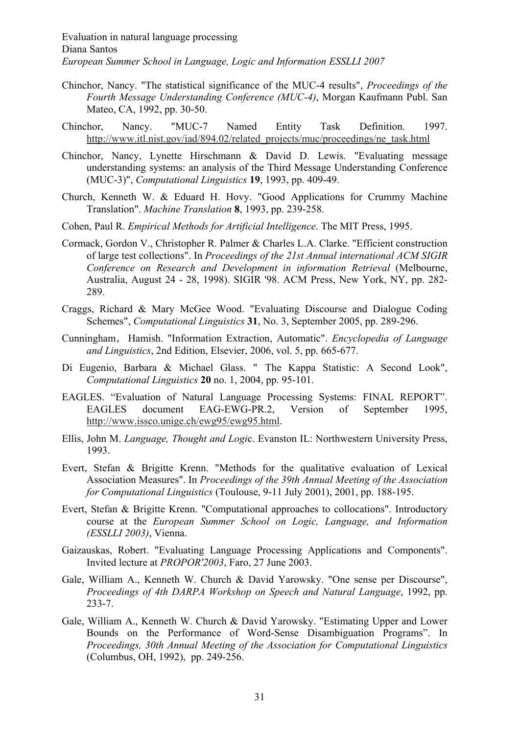- Chinchor, Nancy. "The statistical significance of the MUC-4 results", *Proceedings of the Fourth Message Understanding Conference (MUC-4)*, Morgan Kaufmann Publ. San Mateo, CA, 1992, pp. 30-50.
- Chinchor, Nancy. "MUC-7 Named Entity Task Definition. 1997. http://www.itl.nist.gov/iad/894.02/related\_projects/muc/proceedings/ne\_task.html
- Chinchor, Nancy, Lynette Hirschmann & David D. Lewis. "Evaluating message understanding systems: an analysis of the Third Message Understanding Conference (MUC-3)", *Computational Linguistics* **19**, 1993, pp. 409-49.
- Church, Kenneth W. & Eduard H. Hovy. "Good Applications for Crummy Machine Translation". *Machine Translation* **8**, 1993, pp. 239-258.
- Cohen, Paul R. *Empirical Methods for Artificial Intelligence*. The MIT Press, 1995.
- Cormack, Gordon V., Christopher R. Palmer & Charles L.A. Clarke. "Efficient construction of large test collections". In *Proceedings of the 21st Annual international ACM SIGIR Conference on Research and Development in information Retrieval* (Melbourne, Australia, August 24 - 28, 1998). SIGIR '98. ACM Press, New York, NY, pp. 282- 289.
- Craggs, Richard & Mary McGee Wood. "Evaluating Discourse and Dialogue Coding Schemes", *Computational Linguistics* **31**, No. 3, September 2005, pp. 289-296.
- Cunningham, Hamish. "Information Extraction, Automatic". *Encyclopedia of Language and Linguistics*, 2nd Edition, Elsevier, 2006, vol. 5, pp. 665-677.
- Di Eugenio, Barbara & Michael Glass. " The Kappa Statistic: A Second Look", *Computational Linguistics* **20** no. 1, 2004, pp. 95-101.
- EAGLES. "Evaluation of Natural Language Processing Systems: FINAL REPORT". EAGLES document EAG-EWG-PR.2, Version of September 1995, http://www.issco.unige.ch/ewg95/ewg95.html.
- Ellis, John M. *Language, Thought and Logi*c. Evanston IL: Northwestern University Press, 1993.
- Evert, Stefan & Brigitte Krenn. "Methods for the qualitative evaluation of Lexical Association Measures". In *Proceedings of the 39th Annual Meeting of the Association for Computational Linguistics* (Toulouse, 9-11 July 2001), 2001, pp. 188-195.
- Evert, Stefan & Brigitte Krenn. "Computational approaches to collocations". Introductory course at the *European Summer School on Logic, Language, and Information (ESSLLI 2003)*, Vienna.
- Gaizauskas, Robert. "Evaluating Language Processing Applications and Components". Invited lecture at *PROPOR'2003*, Faro, 27 June 2003.
- Gale, William A., Kenneth W. Church & David Yarowsky. "One sense per Discourse", *Proceedings of 4th DARPA Workshop on Speech and Natural Language*, 1992, pp. 233-7.
- Gale, William A., Kenneth W. Church & David Yarowsky. "Estimating Upper and Lower Bounds on the Performance of Word-Sense Disambiguation Programs". In *Proceedings, 30th Annual Meeting of the Association for Computational Linguistics* (Columbus, OH, 1992), pp. 249-256.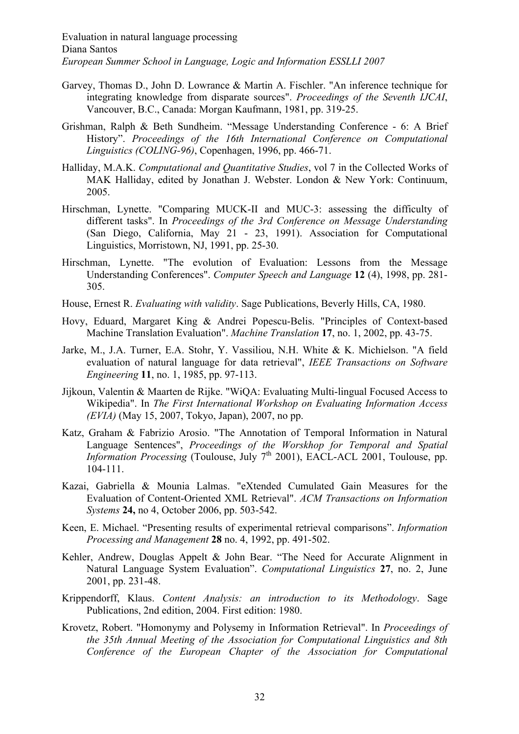- Garvey, Thomas D., John D. Lowrance & Martin A. Fischler. "An inference technique for integrating knowledge from disparate sources". *Proceedings of the Seventh IJCAI*, Vancouver, B.C., Canada: Morgan Kaufmann, 1981, pp. 319-25.
- Grishman, Ralph & Beth Sundheim. "Message Understanding Conference 6: A Brief History". *Proceedings of the 16th International Conference on Computational Linguistics (COLING-96)*, Copenhagen, 1996, pp. 466-71.
- Halliday, M.A.K. *Computational and Quantitative Studies*, vol 7 in the Collected Works of MAK Halliday, edited by Jonathan J. Webster. London & New York: Continuum, 2005.
- Hirschman, Lynette. "Comparing MUCK-II and MUC-3: assessing the difficulty of different tasks". In *Proceedings of the 3rd Conference on Message Understanding* (San Diego, California, May 21 - 23, 1991). Association for Computational Linguistics, Morristown, NJ, 1991, pp. 25-30.
- Hirschman, Lynette. "The evolution of Evaluation: Lessons from the Message Understanding Conferences". *Computer Speech and Language* **12** (4), 1998, pp. 281- 305.
- House, Ernest R. *Evaluating with validity*. Sage Publications, Beverly Hills, CA, 1980.
- Hovy, Eduard, Margaret King & Andrei Popescu-Belis. "Principles of Context-based Machine Translation Evaluation". *Machine Translation* **17**, no. 1, 2002, pp. 43-75.
- Jarke, M., J.A. Turner, E.A. Stohr, Y. Vassiliou, N.H. White & K. Michielson. "A field evaluation of natural language for data retrieval", *IEEE Transactions on Software Engineering* **11**, no. 1, 1985, pp. 97-113.
- Jijkoun, Valentin & Maarten de Rijke. "WiQA: Evaluating Multi-lingual Focused Access to Wikipedia". In *The First International Workshop on Evaluating Information Access (EVIA)* (May 15, 2007, Tokyo, Japan), 2007, no pp.
- Katz, Graham & Fabrizio Arosio. "The Annotation of Temporal Information in Natural Language Sentences", *Proceedings of the Worskhop for Temporal and Spatial Information Processing* (Toulouse, July  $7<sup>th</sup>$  2001), EACL-ACL 2001, Toulouse, pp. 104-111.
- Kazai, Gabriella & Mounia Lalmas. "eXtended Cumulated Gain Measures for the Evaluation of Content-Oriented XML Retrieval". *ACM Transactions on Information Systems* **24,** no 4, October 2006, pp. 503-542.
- Keen, E. Michael. "Presenting results of experimental retrieval comparisons". *Information Processing and Management* **28** no. 4, 1992, pp. 491-502.
- Kehler, Andrew, Douglas Appelt & John Bear. "The Need for Accurate Alignment in Natural Language System Evaluation". *Computational Linguistics* **27**, no. 2, June 2001, pp. 231-48.
- Krippendorff, Klaus. *Content Analysis: an introduction to its Methodology*. Sage Publications, 2nd edition, 2004. First edition: 1980.
- Krovetz, Robert. "Homonymy and Polysemy in Information Retrieval". In *Proceedings of the 35th Annual Meeting of the Association for Computational Linguistics and 8th Conference of the European Chapter of the Association for Computational*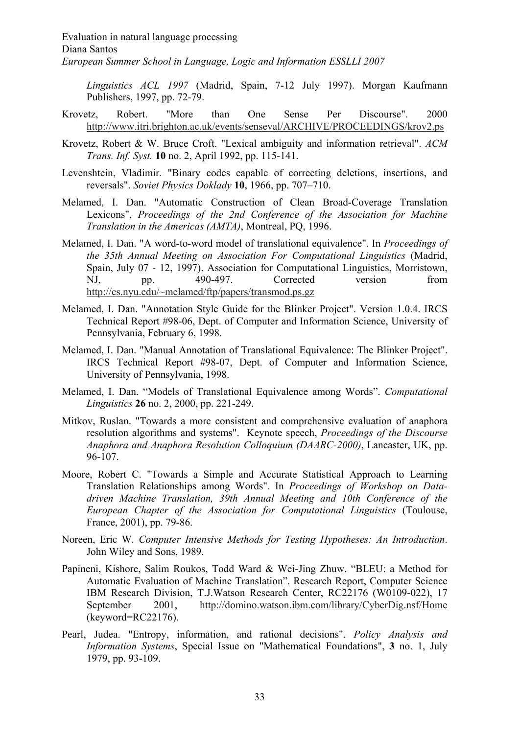*Linguistics ACL 1997* (Madrid, Spain, 7-12 July 1997). Morgan Kaufmann Publishers, 1997, pp. 72-79.

- Krovetz, Robert. "More than One Sense Per Discourse". 2000 http://www.itri.brighton.ac.uk/events/senseval/ARCHIVE/PROCEEDINGS/krov2.ps
- Krovetz, Robert & W. Bruce Croft. "Lexical ambiguity and information retrieval". *ACM Trans. Inf. Syst.* **10** no. 2, April 1992, pp. 115-141.
- Levenshtein, Vladimir. "Binary codes capable of correcting deletions, insertions, and reversals". *Soviet Physics Doklady* **10**, 1966, pp. 707–710.
- Melamed, I. Dan. "Automatic Construction of Clean Broad-Coverage Translation Lexicons", *Proceedings of the 2nd Conference of the Association for Machine Translation in the Americas (AMTA)*, Montreal, PQ, 1996.
- Melamed, I. Dan. "A word-to-word model of translational equivalence". In *Proceedings of the 35th Annual Meeting on Association For Computational Linguistics* (Madrid, Spain, July 07 - 12, 1997). Association for Computational Linguistics, Morristown, NJ, pp. 490-497. Corrected version from http://cs.nyu.edu/~melamed/ftp/papers/transmod.ps.gz
- Melamed, I. Dan. "Annotation Style Guide for the Blinker Project". Version 1.0.4. IRCS Technical Report #98-06, Dept. of Computer and Information Science, University of Pennsylvania, February 6, 1998.
- Melamed, I. Dan. "Manual Annotation of Translational Equivalence: The Blinker Project". IRCS Technical Report #98-07, Dept. of Computer and Information Science, University of Pennsylvania, 1998.
- Melamed, I. Dan. "Models of Translational Equivalence among Words". *Computational Linguistics* **26** no. 2, 2000, pp. 221-249.
- Mitkov, Ruslan. "Towards a more consistent and comprehensive evaluation of anaphora resolution algorithms and systems". Keynote speech, *Proceedings of the Discourse Anaphora and Anaphora Resolution Colloquium (DAARC-2000)*, Lancaster, UK, pp. 96-107.
- Moore, Robert C. "Towards a Simple and Accurate Statistical Approach to Learning Translation Relationships among Words". In *Proceedings of Workshop on Datadriven Machine Translation, 39th Annual Meeting and 10th Conference of the European Chapter of the Association for Computational Linguistics* (Toulouse, France, 2001), pp. 79-86.
- Noreen, Eric W. *Computer Intensive Methods for Testing Hypotheses: An Introduction*. John Wiley and Sons, 1989.
- Papineni, Kishore, Salim Roukos, Todd Ward & Wei-Jing Zhuw. "BLEU: a Method for Automatic Evaluation of Machine Translation". Research Report, Computer Science IBM Research Division, T.J.Watson Research Center, RC22176 (W0109-022), 17 September 2001, http://domino.watson.ibm.com/library/CyberDig.nsf/Home (keyword=RC22176).
- Pearl, Judea. "Entropy, information, and rational decisions". *Policy Analysis and Information Systems*, Special Issue on "Mathematical Foundations", **3** no. 1, July 1979, pp. 93-109.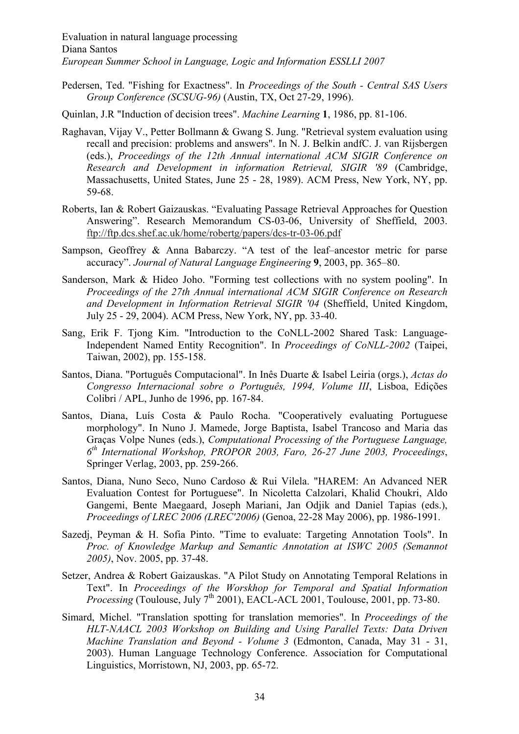Pedersen, Ted. "Fishing for Exactness". In *Proceedings of the South - Central SAS Users Group Conference (SCSUG-96)* (Austin, TX, Oct 27-29, 1996).

Quinlan, J.R "Induction of decision trees". *Machine Learning* **1**, 1986, pp. 81-106.

- Raghavan, Vijay V., Petter Bollmann & Gwang S. Jung. "Retrieval system evaluation using recall and precision: problems and answers". In N. J. Belkin andfC. J. van Rijsbergen (eds.), *Proceedings of the 12th Annual international ACM SIGIR Conference on Research and Development in information Retrieval, SIGIR '89* (Cambridge, Massachusetts, United States, June 25 - 28, 1989). ACM Press, New York, NY, pp. 59-68.
- Roberts, Ian & Robert Gaizauskas. "Evaluating Passage Retrieval Approaches for Question Answering". Research Memorandum CS-03-06, University of Sheffield, 2003. ftp://ftp.dcs.shef.ac.uk/home/robertg/papers/dcs-tr-03-06.pdf
- Sampson, Geoffrey & Anna Babarczy. "A test of the leaf–ancestor metric for parse accuracy". *Journal of Natural Language Engineering* **9**, 2003, pp. 365–80.
- Sanderson, Mark & Hideo Joho. "Forming test collections with no system pooling". In *Proceedings of the 27th Annual international ACM SIGIR Conference on Research and Development in Information Retrieval SIGIR '04* (Sheffield, United Kingdom, July 25 - 29, 2004). ACM Press, New York, NY, pp. 33-40.
- Sang, Erik F. Tjong Kim. "Introduction to the CoNLL-2002 Shared Task: Language-Independent Named Entity Recognition". In *Proceedings of CoNLL-2002* (Taipei, Taiwan, 2002), pp. 155-158.
- Santos, Diana. "Português Computacional". In Inês Duarte & Isabel Leiria (orgs.), *Actas do Congresso Internacional sobre o Português, 1994, Volume III*, Lisboa, Edições Colibri / APL, Junho de 1996, pp. 167-84.
- Santos, Diana, Luís Costa & Paulo Rocha. "Cooperatively evaluating Portuguese morphology". In Nuno J. Mamede, Jorge Baptista, Isabel Trancoso and Maria das Graças Volpe Nunes (eds.), *Computational Processing of the Portuguese Language, 6th International Workshop, PROPOR 2003, Faro, 26-27 June 2003, Proceedings*, Springer Verlag, 2003, pp. 259-266.
- Santos, Diana, Nuno Seco, Nuno Cardoso & Rui Vilela. "HAREM: An Advanced NER Evaluation Contest for Portuguese". In Nicoletta Calzolari, Khalid Choukri, Aldo Gangemi, Bente Maegaard, Joseph Mariani, Jan Odjik and Daniel Tapias (eds.), *Proceedings of LREC 2006 (LREC'2006)* (Genoa, 22-28 May 2006), pp. 1986-1991.
- Sazedj, Peyman & H. Sofia Pinto. "Time to evaluate: Targeting Annotation Tools". In *Proc. of Knowledge Markup and Semantic Annotation at ISWC 2005 (Semannot 2005)*, Nov. 2005, pp. 37-48.
- Setzer, Andrea & Robert Gaizauskas. "A Pilot Study on Annotating Temporal Relations in Text". In *Proceedings of the Worskhop for Temporal and Spatial Information Processing* (Toulouse, July  $7<sup>th</sup>$  2001), EACL-ACL 2001, Toulouse, 2001, pp. 73-80.
- Simard, Michel. "Translation spotting for translation memories". In *Proceedings of the HLT-NAACL 2003 Workshop on Building and Using Parallel Texts: Data Driven Machine Translation and Beyond - Volume 3* (Edmonton, Canada, May 31 - 31, 2003). Human Language Technology Conference. Association for Computational Linguistics, Morristown, NJ, 2003, pp. 65-72.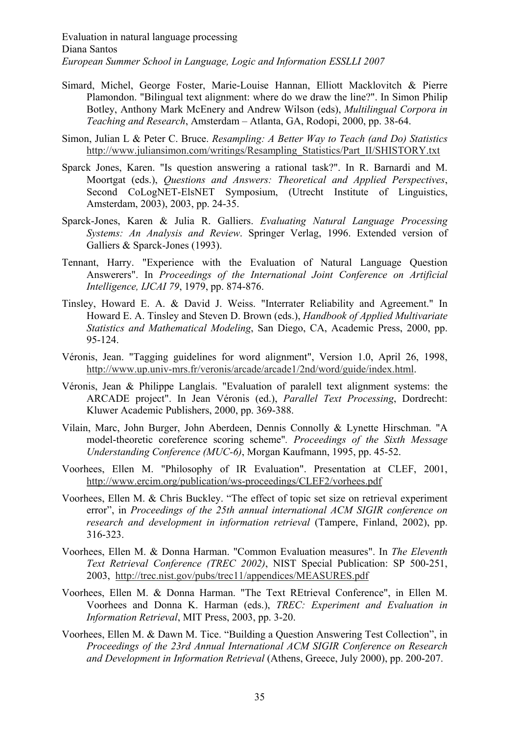- Simard, Michel, George Foster, Marie-Louise Hannan, Elliott Macklovitch & Pierre Plamondon. "Bilingual text alignment: where do we draw the line?". In Simon Philip Botley, Anthony Mark McEnery and Andrew Wilson (eds), *Multilingual Corpora in Teaching and Research*, Amsterdam – Atlanta, GA, Rodopi, 2000, pp. 38-64.
- Simon, Julian L & Peter C. Bruce. *Resampling: A Better Way to Teach (and Do) Statistics* http://www.juliansimon.com/writings/Resampling\_Statistics/Part\_II/SHISTORY.txt
- Sparck Jones, Karen. "Is question answering a rational task?". In R. Barnardi and M. Moortgat (eds.), *Questions and Answers: Theoretical and Applied Perspectives*, Second CoLogNET-ElsNET Symposium, (Utrecht Institute of Linguistics, Amsterdam, 2003), 2003, pp. 24-35.
- Sparck-Jones, Karen & Julia R. Galliers. *Evaluating Natural Language Processing Systems: An Analysis and Review*. Springer Verlag, 1996. Extended version of Galliers & Sparck-Jones (1993).
- Tennant, Harry. "Experience with the Evaluation of Natural Language Question Answerers". In *Proceedings of the International Joint Conference on Artificial Intelligence, IJCAI 79*, 1979, pp. 874-876.
- Tinsley, Howard E. A. & David J. Weiss. "Interrater Reliability and Agreement." In Howard E. A. Tinsley and Steven D. Brown (eds.), *Handbook of Applied Multivariate Statistics and Mathematical Modeling*, San Diego, CA, Academic Press, 2000, pp. 95-124.
- Véronis, Jean. "Tagging guidelines for word alignment", Version 1.0, April 26, 1998, http://www.up.univ-mrs.fr/veronis/arcade/arcade1/2nd/word/guide/index.html.
- Véronis, Jean & Philippe Langlais. "Evaluation of paralell text alignment systems: the ARCADE project". In Jean Véronis (ed.), *Parallel Text Processing*, Dordrecht: Kluwer Academic Publishers, 2000, pp. 369-388.
- Vilain, Marc, John Burger, John Aberdeen, Dennis Connolly & Lynette Hirschman. "A model-theoretic coreference scoring scheme"*. Proceedings of the Sixth Message Understanding Conference (MUC-6)*, Morgan Kaufmann, 1995, pp. 45-52.
- Voorhees, Ellen M. "Philosophy of IR Evaluation". Presentation at CLEF, 2001, http://www.ercim.org/publication/ws-proceedings/CLEF2/vorhees.pdf
- Voorhees, Ellen M. & Chris Buckley. "The effect of topic set size on retrieval experiment error", in *Proceedings of the 25th annual international ACM SIGIR conference on research and development in information retrieval* (Tampere, Finland, 2002), pp. 316-323.
- Voorhees, Ellen M. & Donna Harman. "Common Evaluation measures". In *The Eleventh Text Retrieval Conference (TREC 2002)*, NIST Special Publication: SP 500-251, 2003, http://trec.nist.gov/pubs/trec11/appendices/MEASURES.pdf
- Voorhees, Ellen M. & Donna Harman. "The Text REtrieval Conference", in Ellen M. Voorhees and Donna K. Harman (eds.), *TREC: Experiment and Evaluation in Information Retrieval*, MIT Press, 2003, pp. 3-20.
- Voorhees, Ellen M. & Dawn M. Tice. "Building a Question Answering Test Collection", in *Proceedings of the 23rd Annual International ACM SIGIR Conference on Research and Development in Information Retrieval* (Athens, Greece, July 2000), pp. 200-207.